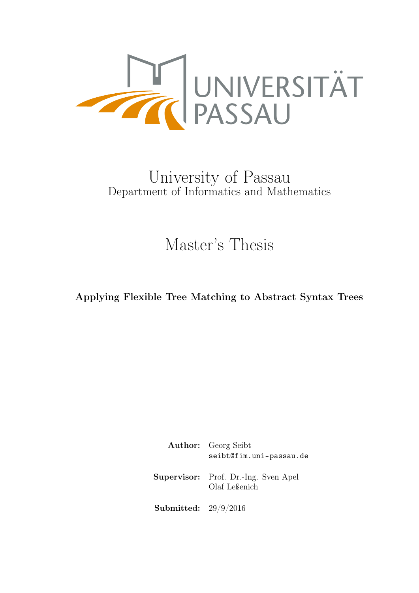<span id="page-0-0"></span>

## University of Passau Department of Informatics and Mathematics

# Master's Thesis

Applying Flexible Tree Matching to Abstract Syntax Trees

Author: Georg Seibt [seibt@fim.uni-passau.de](mailto:seibt@fim.uni-passau.de) Supervisor: Prof. Dr.-Ing. Sven Apel Olaf Leßenich Submitted: 29/9/2016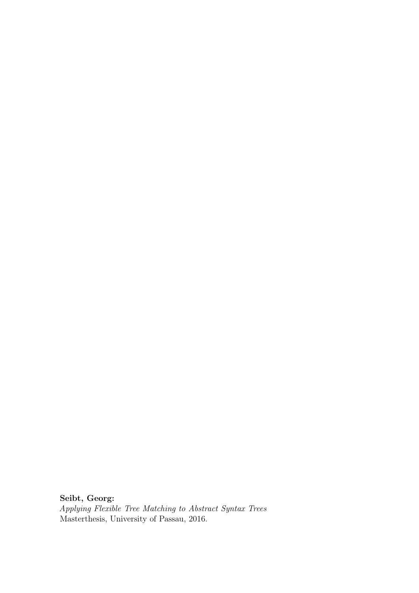Seibt, Georg: Applying Flexible Tree Matching to Abstract Syntax Trees Masterthesis, University of Passau, 2016.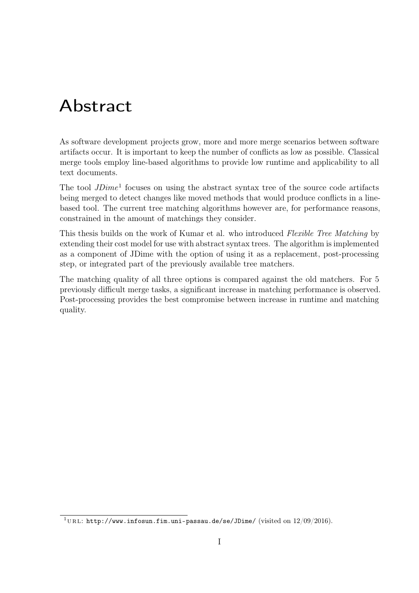# Abstract

As software development projects grow, more and more merge scenarios between software artifacts occur. It is important to keep the number of conflicts as low as possible. Classical merge tools employ line-based algorithms to provide low runtime and applicability to all text documents.

The tool  $JDime<sup>1</sup>$  $JDime<sup>1</sup>$  $JDime<sup>1</sup>$  focuses on using the abstract syntax tree of the source code artifacts being merged to detect changes like moved methods that would produce conflicts in a linebased tool. The current tree matching algorithms however are, for performance reasons, constrained in the amount of matchings they consider.

This thesis builds on the work of Kumar et al. who introduced Flexible Tree Matching by extending their cost model for use with abstract syntax trees. The algorithm is implemented as a component of JDime with the option of using it as a replacement, post-processing step, or integrated part of the previously available tree matchers.

The matching quality of all three options is compared against the old matchers. For 5 previously difficult merge tasks, a significant increase in matching performance is observed. Post-processing provides the best compromise between increase in runtime and matching quality.

<span id="page-2-0"></span><sup>&</sup>lt;sup>1</sup>URL: <http://www.infosun.fim.uni-passau.de/se/JDime/> (visited on  $12/09/2016$ ).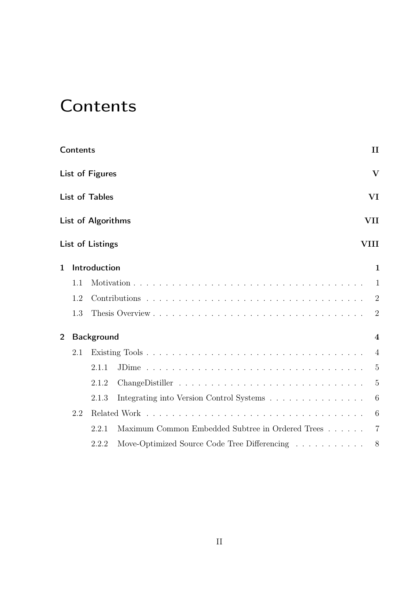# <span id="page-3-0"></span>**Contents**

|                | <b>Contents</b> |                       |                                                  | $\mathbf{I}$            |
|----------------|-----------------|-----------------------|--------------------------------------------------|-------------------------|
|                |                 | List of Figures       |                                                  | $\overline{\mathbf{V}}$ |
|                |                 | <b>List of Tables</b> |                                                  | VI                      |
|                |                 | List of Algorithms    |                                                  | VII                     |
|                |                 | List of Listings      |                                                  | VIII                    |
| $\mathbf 1$    |                 | Introduction          |                                                  | $\mathbf{1}$            |
|                | 1.1             |                       |                                                  | $\mathbf{1}$            |
|                | 1.2             |                       |                                                  | $\overline{2}$          |
|                | 1.3             |                       |                                                  | $\overline{2}$          |
| $\overline{2}$ |                 | Background            |                                                  | $\overline{\mathbf{4}}$ |
|                | 2.1             |                       |                                                  | $\overline{4}$          |
|                |                 | 2.1.1                 |                                                  | $\overline{5}$          |
|                |                 | 2.1.2                 |                                                  | $\overline{5}$          |
|                |                 | 2.1.3                 |                                                  | $6\phantom{.}6$         |
|                | 2.2             |                       |                                                  | 6                       |
|                |                 | 2.2.1                 | Maximum Common Embedded Subtree in Ordered Trees | $\overline{7}$          |
|                |                 | 2.2.2                 | Move-Optimized Source Code Tree Differencing     | 8                       |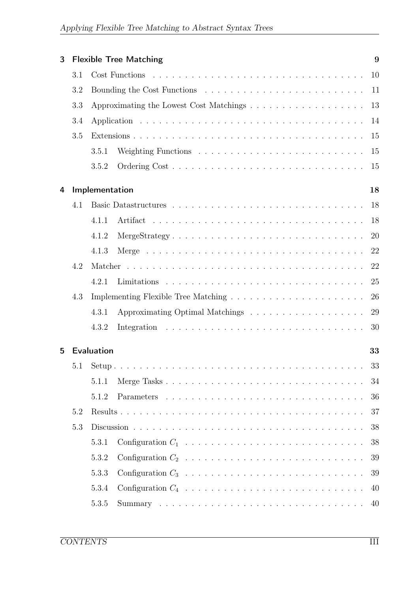| 3 |            |                | <b>Flexible Tree Matching</b> | 9  |
|---|------------|----------------|-------------------------------|----|
|   | 3.1        |                |                               | 10 |
|   | 3.2        |                |                               |    |
|   | 3.3        |                |                               | 13 |
|   | 3.4        |                |                               | 14 |
|   | 3.5        |                |                               | 15 |
|   |            | 3.5.1          |                               | 15 |
|   |            | 3.5.2          |                               | 15 |
| 4 |            | Implementation |                               | 18 |
|   | 4.1        |                |                               | 18 |
|   |            | 4.1.1          |                               | 18 |
|   |            | 4.1.2          | MergeStrategy                 | 20 |
|   |            | 4.1.3          |                               | 22 |
|   | 4.2        |                |                               | 22 |
|   |            | 4.2.1          |                               | 25 |
|   | 4.3        |                |                               | 26 |
|   |            | 4.3.1          |                               | 29 |
|   |            | 4.3.2          |                               | 30 |
| 5 | Evaluation |                |                               | 33 |
|   |            | 5.1 Setup      |                               | 33 |
|   |            | 5.1.1          |                               | 34 |
|   |            | 5.1.2          |                               | 36 |
|   | 5.2        |                |                               | 37 |
|   | 5.3        |                |                               | 38 |
|   |            | 5.3.1          |                               | 38 |
|   |            | 5.3.2          |                               | 39 |
|   |            | 5.3.3          |                               | 39 |
|   |            | 5.3.4          |                               | 40 |
|   |            | 5.3.5          |                               | 40 |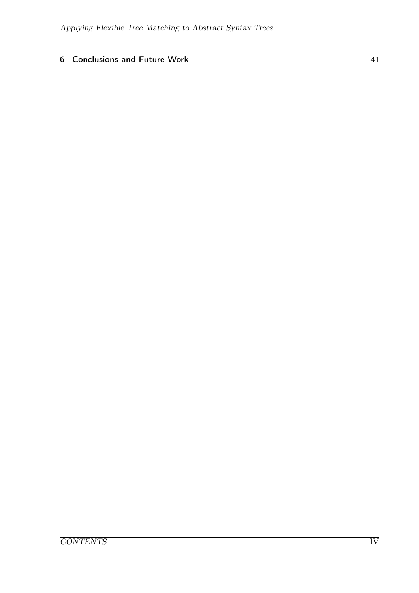#### [6 Conclusions and Future Work](#page-50-0) 41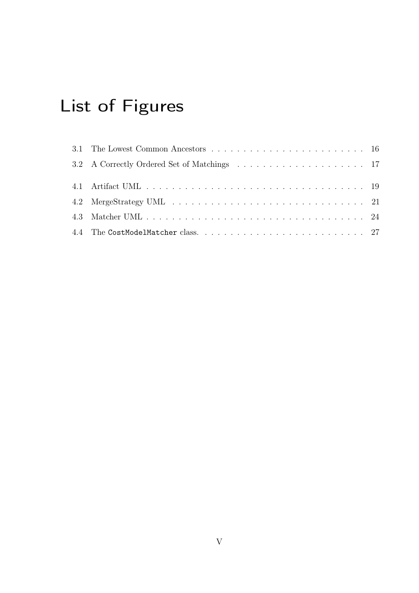# <span id="page-6-0"></span>List of Figures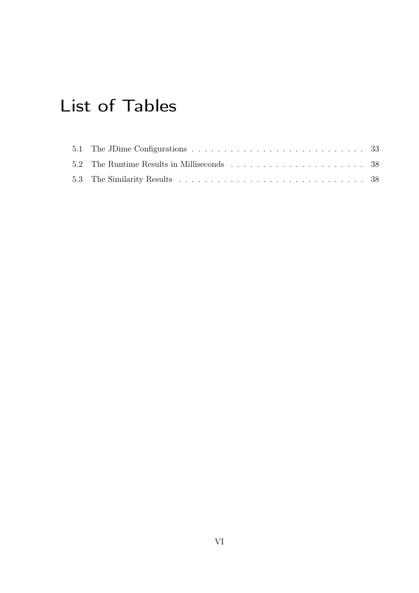# <span id="page-7-0"></span>List of Tables

| 5.1 The JDime Configurations $\ldots \ldots \ldots \ldots \ldots \ldots \ldots \ldots \ldots \ldots 33$ |  |
|---------------------------------------------------------------------------------------------------------|--|
|                                                                                                         |  |
|                                                                                                         |  |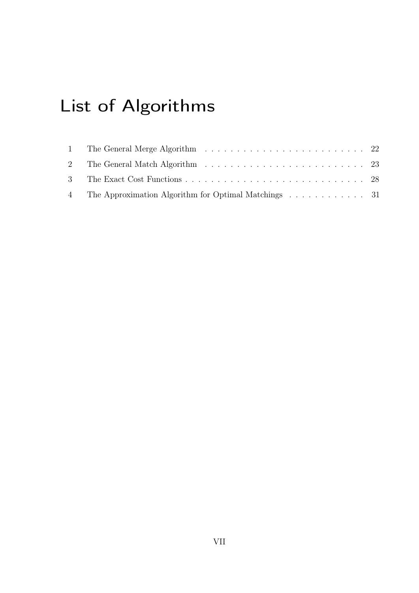# <span id="page-8-0"></span>List of Algorithms

| 4 The Approximation Algorithm for Optimal Matchings 31 |  |
|--------------------------------------------------------|--|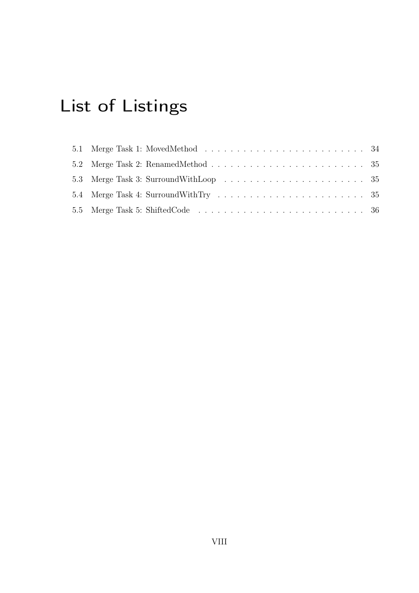# <span id="page-9-0"></span>List of Listings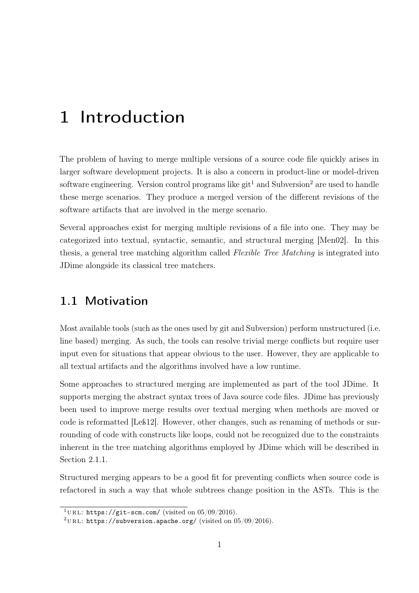# <span id="page-10-0"></span>1 Introduction

The problem of having to merge multiple versions of a source code file quickly arises in larger software development projects. It is also a concern in product-line or model-driven software engineering. Version control programs like  $\text{git}^1$  $\text{git}^1$  and Subversion<sup>[2](#page-10-3)</sup> are used to handle these merge scenarios. They produce a merged version of the different revisions of the software artifacts that are involved in the merge scenario.

Several approaches exist for merging multiple revisions of a file into one. They may be categorized into textual, syntactic, semantic, and structural merging [\[Men02\]](#page-52-0). In this thesis, a general tree matching algorithm called Flexible Tree Matching is integrated into JDime alongside its classical tree matchers.

#### <span id="page-10-1"></span>1.1 Motivation

Most available tools (such as the ones used by git and Subversion) perform unstructured (i.e. line based) merging. As such, the tools can resolve trivial merge conflicts but require user input even for situations that appear obvious to the user. However, they are applicable to all textual artifacts and the algorithms involved have a low runtime.

Some approaches to structured merging are implemented as part of the tool JDime. It supports merging the abstract syntax trees of Java source code files. JDime has previously been used to improve merge results over textual merging when methods are moved or code is reformatted [\[Leß12\]](#page-52-1). However, other changes, such as renaming of methods or surrounding of code with constructs like loops, could not be recognized due to the constraints inherent in the tree matching algorithms employed by JDime which will be described in Section [2.1.1.](#page-14-0)

Structured merging appears to be a good fit for preventing conflicts when source code is refactored in such a way that whole subtrees change position in the ASTs. This is the

<span id="page-10-2"></span><sup>&</sup>lt;sup>1</sup>URL: <https://git-scm.com/> (visited on  $05/09/2016$ ).

<span id="page-10-3"></span><sup>&</sup>lt;sup>2</sup>URL: <https://subversion.apache.org/> (visited on  $05/09/2016$ ).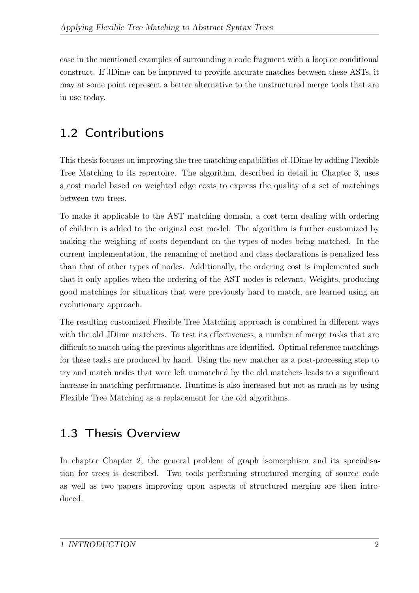case in the mentioned examples of surrounding a code fragment with a loop or conditional construct. If JDime can be improved to provide accurate matches between these ASTs, it may at some point represent a better alternative to the unstructured merge tools that are in use today.

## <span id="page-11-0"></span>1.2 Contributions

This thesis focuses on improving the tree matching capabilities of JDime by adding Flexible Tree Matching to its repertoire. The algorithm, described in detail in Chapter [3,](#page-18-0) uses a cost model based on weighted edge costs to express the quality of a set of matchings between two trees.

To make it applicable to the AST matching domain, a cost term dealing with ordering of children is added to the original cost model. The algorithm is further customized by making the weighing of costs dependant on the types of nodes being matched. In the current implementation, the renaming of method and class declarations is penalized less than that of other types of nodes. Additionally, the ordering cost is implemented such that it only applies when the ordering of the AST nodes is relevant. Weights, producing good matchings for situations that were previously hard to match, are learned using an evolutionary approach.

The resulting customized Flexible Tree Matching approach is combined in different ways with the old JDime matchers. To test its effectiveness, a number of merge tasks that are difficult to match using the previous algorithms are identified. Optimal reference matchings for these tasks are produced by hand. Using the new matcher as a post-processing step to try and match nodes that were left unmatched by the old matchers leads to a significant increase in matching performance. Runtime is also increased but not as much as by using Flexible Tree Matching as a replacement for the old algorithms.

## <span id="page-11-1"></span>1.3 Thesis Overview

In chapter Chapter [2,](#page-13-0) the general problem of graph isomorphism and its specialisation for trees is described. Two tools performing structured merging of source code as well as two papers improving upon aspects of structured merging are then introduced.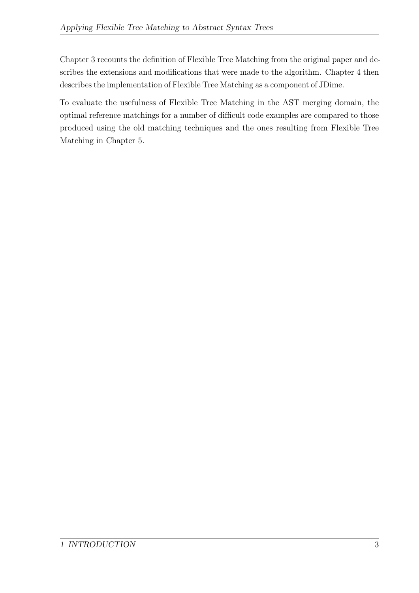Chapter [3](#page-18-0) recounts the definition of Flexible Tree Matching from the original paper and describes the extensions and modifications that were made to the algorithm. Chapter [4](#page-27-0) then describes the implementation of Flexible Tree Matching as a component of JDime.

To evaluate the usefulness of Flexible Tree Matching in the AST merging domain, the optimal reference matchings for a number of difficult code examples are compared to those produced using the old matching techniques and the ones resulting from Flexible Tree Matching in Chapter [5.](#page-42-0)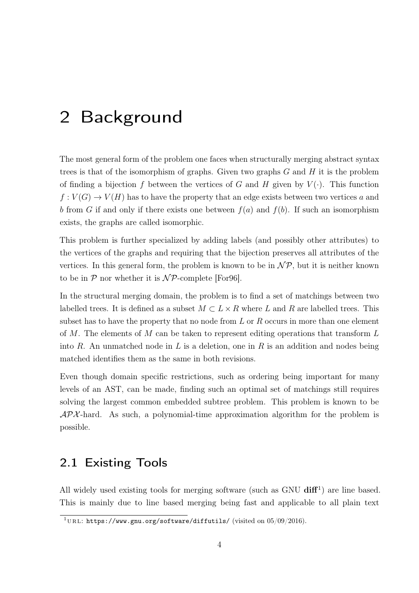# <span id="page-13-3"></span><span id="page-13-0"></span>2 Background

The most general form of the problem one faces when structurally merging abstract syntax trees is that of the isomorphism of graphs. Given two graphs  $G$  and  $H$  it is the problem of finding a bijection f between the vertices of G and H given by  $V(\cdot)$ . This function  $f: V(G) \to V(H)$  has to have the property that an edge exists between two vertices a and b from G if and only if there exists one between  $f(a)$  and  $f(b)$ . If such an isomorphism exists, the graphs are called isomorphic.

This problem is further specialized by adding labels (and possibly other attributes) to the vertices of the graphs and requiring that the bijection preserves all attributes of the vertices. In this general form, the problem is known to be in  $\mathcal{NP}$ , but it is neither known to be in  $P$  nor whether it is  $\mathcal{NP}$ -complete [\[For96\]](#page-51-0).

In the structural merging domain, the problem is to find a set of matchings between two labelled trees. It is defined as a subset  $M \subset L \times R$  where L and R are labelled trees. This subset has to have the property that no node from  $L$  or  $R$  occurs in more than one element of M. The elements of M can be taken to represent editing operations that transform  $L$ into R. An unmatched node in L is a deletion, one in R is an addition and nodes being matched identifies them as the same in both revisions.

Even though domain specific restrictions, such as ordering being important for many levels of an AST, can be made, finding such an optimal set of matchings still requires solving the largest common embedded subtree problem. This problem is known to be  $APX$ -hard. As such, a polynomial-time approximation algorithm for the problem is possible.

#### <span id="page-13-1"></span>2.1 Existing Tools

All widely used existing tools for merging software (such as GNU  $diff<sup>1</sup>$  $diff<sup>1</sup>$  $diff<sup>1</sup>$ ) are line based. This is mainly due to line based merging being fast and applicable to all plain text

<span id="page-13-2"></span><sup>&</sup>lt;sup>1</sup>URL: <https://www.gnu.org/software/diffutils/> (visited on  $05/09/2016$ ).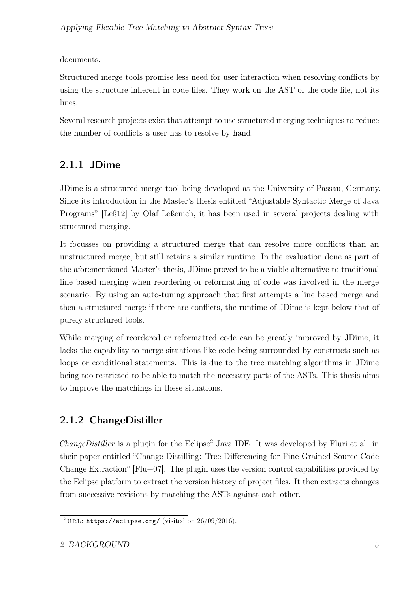<span id="page-14-3"></span>documents.

Structured merge tools promise less need for user interaction when resolving conflicts by using the structure inherent in code files. They work on the AST of the code file, not its lines.

Several research projects exist that attempt to use structured merging techniques to reduce the number of conflicts a user has to resolve by hand.

### <span id="page-14-0"></span>2.1.1 JDime

JDime is a structured merge tool being developed at the University of Passau, Germany. Since its introduction in the Master's thesis entitled "Adjustable Syntactic Merge of Java Programs" [\[Leß12\]](#page-52-1) by Olaf Leßenich, it has been used in several projects dealing with structured merging.

It focusses on providing a structured merge that can resolve more conflicts than an unstructured merge, but still retains a similar runtime. In the evaluation done as part of the aforementioned Master's thesis, JDime proved to be a viable alternative to traditional line based merging when reordering or reformatting of code was involved in the merge scenario. By using an auto-tuning approach that first attempts a line based merge and then a structured merge if there are conflicts, the runtime of JDime is kept below that of purely structured tools.

While merging of reordered or reformatted code can be greatly improved by JDime, it lacks the capability to merge situations like code being surrounded by constructs such as loops or conditional statements. This is due to the tree matching algorithms in JDime being too restricted to be able to match the necessary parts of the ASTs. This thesis aims to improve the matchings in these situations.

### <span id="page-14-1"></span>2.1.2 ChangeDistiller

 $ChangeDistiller$  is a plugin for the Eclipse<sup>[2](#page-14-2)</sup> Java IDE. It was developed by Fluri et al. in their paper entitled "Change Distilling: Tree Differencing for Fine-Grained Source Code Change Extraction"  $[Flu+07]$ . The plugin uses the version control capabilities provided by the Eclipse platform to extract the version history of project files. It then extracts changes from successive revisions by matching the ASTs against each other.

<span id="page-14-2"></span><sup>&</sup>lt;sup>2</sup>URL: <https://eclipse.org/> (visited on  $26/09/2016$ ).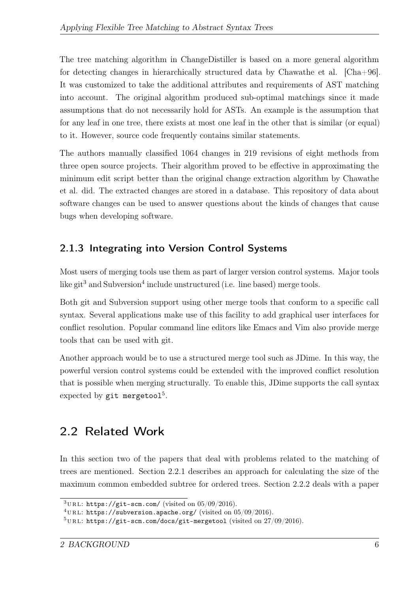<span id="page-15-5"></span>The tree matching algorithm in ChangeDistiller is based on a more general algorithm for detecting changes in hierarchically structured data by Chawathe et al. [\[Cha+96\]](#page-51-2). It was customized to take the additional attributes and requirements of AST matching into account. The original algorithm produced sub-optimal matchings since it made assumptions that do not necessarily hold for ASTs. An example is the assumption that for any leaf in one tree, there exists at most one leaf in the other that is similar (or equal) to it. However, source code frequently contains similar statements.

The authors manually classified 1064 changes in 219 revisions of eight methods from three open source projects. Their algorithm proved to be effective in approximating the minimum edit script better than the original change extraction algorithm by Chawathe et al. did. The extracted changes are stored in a database. This repository of data about software changes can be used to answer questions about the kinds of changes that cause bugs when developing software.

### <span id="page-15-0"></span>2.1.3 Integrating into Version Control Systems

Most users of merging tools use them as part of larger version control systems. Major tools like git<sup>[3](#page-15-2)</sup> and Subversion<sup>[4](#page-15-3)</sup> include unstructured (i.e. line based) merge tools.

Both git and Subversion support using other merge tools that conform to a specific call syntax. Several applications make use of this facility to add graphical user interfaces for conflict resolution. Popular command line editors like Emacs and Vim also provide merge tools that can be used with git.

Another approach would be to use a structured merge tool such as JDime. In this way, the powerful version control systems could be extended with the improved conflict resolution that is possible when merging structurally. To enable this, JDime supports the call syntax expected by  $g$ it mergetool<sup>[5](#page-15-4)</sup>.

## <span id="page-15-1"></span>2.2 Related Work

In this section two of the papers that deal with problems related to the matching of trees are mentioned. Section [2.2.1](#page-16-0) describes an approach for calculating the size of the maximum common embedded subtree for ordered trees. Section [2.2.2](#page-17-0) deals with a paper

<span id="page-15-2"></span> $3$ URL: <https://git-scm.com/> (visited on 05/09/2016).

<span id="page-15-3"></span> $^{4}$ URL: <https://subversion.apache.org/> (visited on 05/09/2016).

<span id="page-15-4"></span> $5$ URL: <https://git-scm.com/docs/git-mergetool> (visited on  $27/09/2016$ ).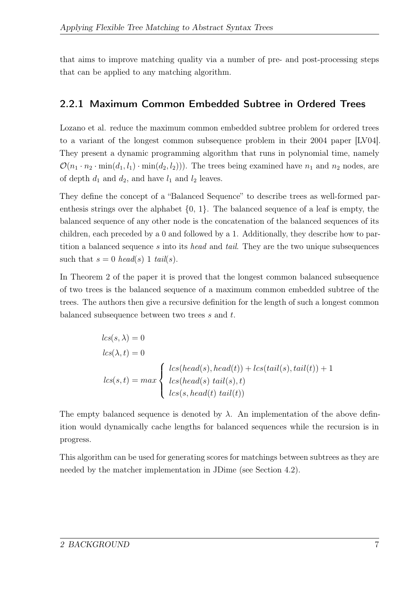<span id="page-16-1"></span>that aims to improve matching quality via a number of pre- and post-processing steps that can be applied to any matching algorithm.

#### <span id="page-16-0"></span>2.2.1 Maximum Common Embedded Subtree in Ordered Trees

Lozano et al. reduce the maximum common embedded subtree problem for ordered trees to a variant of the longest common subsequence problem in their 2004 paper [\[LV04\]](#page-52-2). They present a dynamic programming algorithm that runs in polynomial time, namely  $\mathcal{O}(n_1 \cdot n_2 \cdot \min(d_1, l_1) \cdot \min(d_2, l_2))$ . The trees being examined have  $n_1$  and  $n_2$  nodes, are of depth  $d_1$  and  $d_2$ , and have  $l_1$  and  $l_2$  leaves.

They define the concept of a "Balanced Sequence" to describe trees as well-formed parenthesis strings over the alphabet  $\{0, 1\}$ . The balanced sequence of a leaf is empty, the balanced sequence of any other node is the concatenation of the balanced sequences of its children, each preceded by a 0 and followed by a 1. Additionally, they describe how to partition a balanced sequence s into its head and tail. They are the two unique subsequences such that  $s = 0$  head(s) 1 tail(s).

In Theorem 2 of the paper it is proved that the longest common balanced subsequence of two trees is the balanced sequence of a maximum common embedded subtree of the trees. The authors then give a recursive definition for the length of such a longest common balanced subsequence between two trees s and t.

$$
lcs(s, \lambda) = 0
$$
  
\n
$$
lcs(\lambda, t) = 0
$$
  
\n
$$
lcs(s, t) = max \begin{cases} lcs(head(s), head(t)) + lcs(tail(s), tail(t)) + 1 \\ lcs(head(s) tail(s), t) \\ lcs(s, head(t) tail(t)) \end{cases}
$$

The empty balanced sequence is denoted by  $\lambda$ . An implementation of the above definition would dynamically cache lengths for balanced sequences while the recursion is in progress.

This algorithm can be used for generating scores for matchings between subtrees as they are needed by the matcher implementation in JDime (see Section [4.2\)](#page-31-1).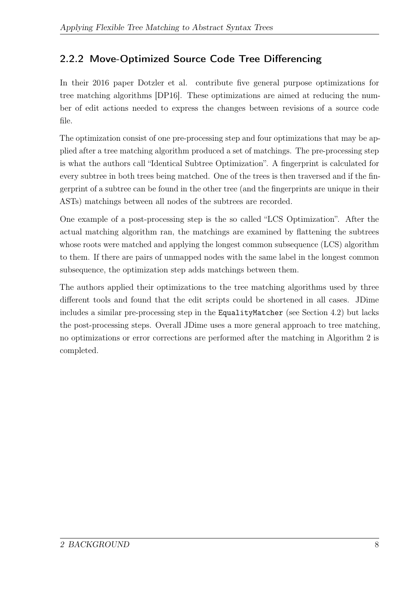### <span id="page-17-1"></span><span id="page-17-0"></span>2.2.2 Move-Optimized Source Code Tree Differencing

In their 2016 paper Dotzler et al. contribute five general purpose optimizations for tree matching algorithms [\[DP16\]](#page-51-3). These optimizations are aimed at reducing the number of edit actions needed to express the changes between revisions of a source code file.

The optimization consist of one pre-processing step and four optimizations that may be applied after a tree matching algorithm produced a set of matchings. The pre-processing step is what the authors call "Identical Subtree Optimization". A fingerprint is calculated for every subtree in both trees being matched. One of the trees is then traversed and if the fingerprint of a subtree can be found in the other tree (and the fingerprints are unique in their ASTs) matchings between all nodes of the subtrees are recorded.

One example of a post-processing step is the so called "LCS Optimization". After the actual matching algorithm ran, the matchings are examined by flattening the subtrees whose roots were matched and applying the longest common subsequence (LCS) algorithm to them. If there are pairs of unmapped nodes with the same label in the longest common subsequence, the optimization step adds matchings between them.

The authors applied their optimizations to the tree matching algorithms used by three different tools and found that the edit scripts could be shortened in all cases. JDime includes a similar pre-processing step in the EqualityMatcher (see Section [4.2\)](#page-31-1) but lacks the post-processing steps. Overall JDime uses a more general approach to tree matching, no optimizations or error corrections are performed after the matching in Algorithm [2](#page-32-0) is completed.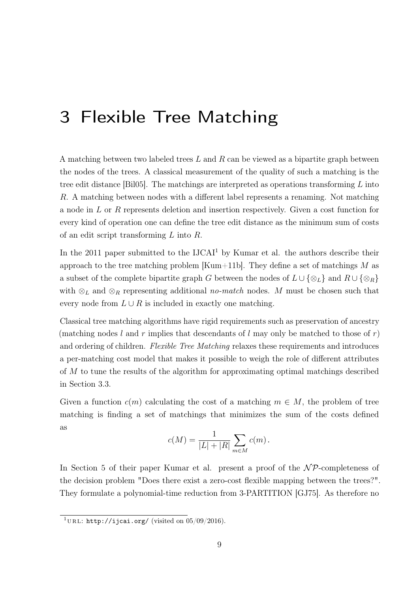# <span id="page-18-2"></span><span id="page-18-0"></span>3 Flexible Tree Matching

A matching between two labeled trees  $L$  and  $R$  can be viewed as a bipartite graph between the nodes of the trees. A classical measurement of the quality of such a matching is the tree edit distance [\[Bil05\]](#page-51-4). The matchings are interpreted as operations transforming  $L$  into R. A matching between nodes with a different label represents a renaming. Not matching a node in L or R represents deletion and insertion respectively. Given a cost function for every kind of operation one can define the tree edit distance as the minimum sum of costs of an edit script transforming L into R.

In the 20[1](#page-18-1)1 paper submitted to the  $IJCAI<sup>1</sup>$  by Kumar et al. the authors describe their approach to the tree matching problem [\[Kum+11b\]](#page-52-3). They define a set of matchings  $M$  as a subset of the complete bipartite graph G between the nodes of  $L \cup {\varphi_L}$  and  $R \cup {\varphi_R}$ with  $\otimes_L$  and  $\otimes_R$  representing additional no-match nodes. M must be chosen such that every node from  $L \cup R$  is included in exactly one matching.

Classical tree matching algorithms have rigid requirements such as preservation of ancestry (matching nodes l and r implies that descendants of l may only be matched to those of r) and ordering of children. Flexible Tree Matching relaxes these requirements and introduces a per-matching cost model that makes it possible to weigh the role of different attributes of M to tune the results of the algorithm for approximating optimal matchings described in Section [3.3.](#page-22-0)

Given a function  $c(m)$  calculating the cost of a matching  $m \in M$ , the problem of tree matching is finding a set of matchings that minimizes the sum of the costs defined as

$$
c(M) = \frac{1}{|L|+|R|} \sum_{m \in M} c(m).
$$

In Section 5 of their paper Kumar et al. present a proof of the  $N\mathcal{P}$ -completeness of the decision problem "Does there exist a zero-cost flexible mapping between the trees?". They formulate a polynomial-time reduction from 3-PARTITION [\[GJ75\]](#page-52-4). As therefore no

<span id="page-18-1"></span><sup>&</sup>lt;sup>1</sup>URL: <http://ijcai.org/> (visited on  $05/09/2016$ ).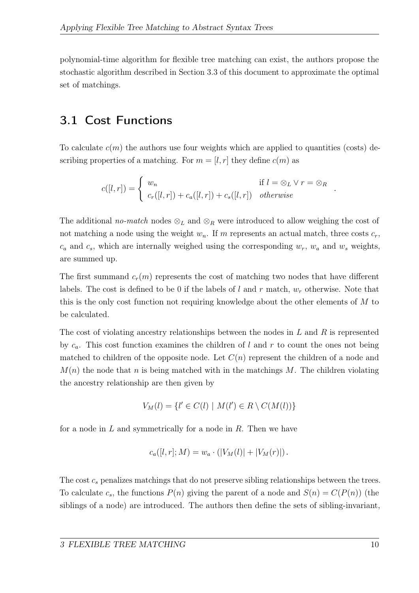polynomial-time algorithm for flexible tree matching can exist, the authors propose the stochastic algorithm described in Section [3.3](#page-22-0) of this document to approximate the optimal set of matchings.

### <span id="page-19-0"></span>3.1 Cost Functions

To calculate  $c(m)$  the authors use four weights which are applied to quantities (costs) describing properties of a matching. For  $m = [l, r]$  they define  $c(m)$  as

$$
c([l,r]) = \begin{cases} w_n & \text{if } l = \otimes_L \vee r = \otimes_R \\ c_r([l,r]) + c_a([l,r]) + c_s([l,r]) & otherwise \end{cases}
$$

The additional no-match nodes  $\otimes_L$  and  $\otimes_R$  were introduced to allow weighing the cost of not matching a node using the weight  $w_n$ . If m represents an actual match, three costs  $c_r$ ,  $c_a$  and  $c_s$ , which are internally weighed using the corresponding  $w_r$ ,  $w_a$  and  $w_s$  weights, are summed up.

The first summand  $c_r(m)$  represents the cost of matching two nodes that have different labels. The cost is defined to be 0 if the labels of l and r match,  $w_r$  otherwise. Note that this is the only cost function not requiring knowledge about the other elements of M to be calculated.

The cost of violating ancestry relationships between the nodes in  $L$  and  $R$  is represented by  $c_a$ . This cost function examines the children of l and r to count the ones not being matched to children of the opposite node. Let  $C(n)$  represent the children of a node and  $M(n)$  the node that n is being matched with in the matchings M. The children violating the ancestry relationship are then given by

$$
V_M(l) = \{l' \in C(l) \mid M(l') \in R \setminus C(M(l))\}
$$

for a node in  $L$  and symmetrically for a node in  $R$ . Then we have

$$
c_a([l, r]; M) = w_a \cdot (|V_M(l)| + |V_M(r)|).
$$

The cost  $c_s$  penalizes matchings that do not preserve sibling relationships between the trees. To calculate  $c_s$ , the functions  $P(n)$  giving the parent of a node and  $S(n) = C(P(n))$  (the siblings of a node) are introduced. The authors then define the sets of sibling-invariant,

.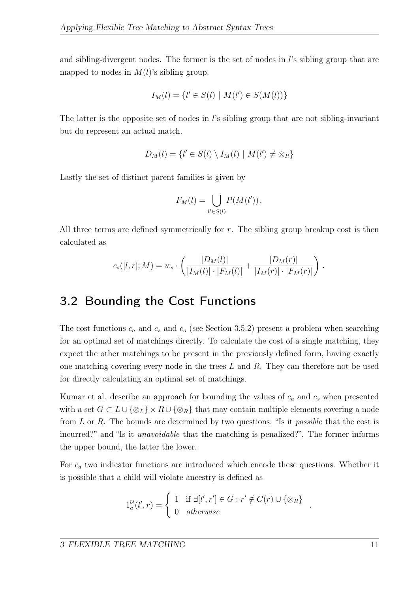and sibling-divergent nodes. The former is the set of nodes in  $l$ 's sibling group that are mapped to nodes in  $M(l)$ 's sibling group.

$$
I_M(l) = \{l' \in S(l) \mid M(l') \in S(M(l))\}
$$

The latter is the opposite set of nodes in  $\ell$ 's sibling group that are not sibling-invariant but do represent an actual match.

$$
D_M(l) = \{l' \in S(l) \setminus I_M(l) \mid M(l') \neq \otimes_R\}
$$

Lastly the set of distinct parent families is given by

$$
F_M(l) = \bigcup_{l' \in S(l)} P(M(l')).
$$

All three terms are defined symmetrically for  $r$ . The sibling group breakup cost is then calculated as

$$
c_s([l,r];M) = w_s \cdot \left( \frac{|D_M(l)|}{|I_M(l)| \cdot |F_M(l)|} + \frac{|D_M(r)|}{|I_M(r)| \cdot |F_M(r)|} \right).
$$

#### <span id="page-20-0"></span>3.2 Bounding the Cost Functions

The cost functions  $c_a$  and  $c_s$  and  $c_o$  (see Section [3.5.2\)](#page-24-2) present a problem when searching for an optimal set of matchings directly. To calculate the cost of a single matching, they expect the other matchings to be present in the previously defined form, having exactly one matching covering every node in the trees  $L$  and  $R$ . They can therefore not be used for directly calculating an optimal set of matchings.

Kumar et al. describe an approach for bounding the values of  $c_a$  and  $c_s$  when presented with a set  $G \subset L \cup \{\otimes_L\} \times R \cup \{\otimes_R\}$  that may contain multiple elements covering a node from  $L$  or  $R$ . The bounds are determined by two questions: "Is it *possible* that the cost is incurred?" and "Is it *unavoidable* that the matching is penalized?". The former informs the upper bound, the latter the lower.

For  $c_a$  two indicator functions are introduced which encode these questions. Whether it is possible that a child will violate ancestry is defined as

$$
1_a^{\mathcal{U}}(l',r) = \begin{cases} 1 & \text{if } \exists [l',r'] \in G : r' \notin C(r) \cup \{\otimes_R\} \\ 0 & otherwise \end{cases}
$$

.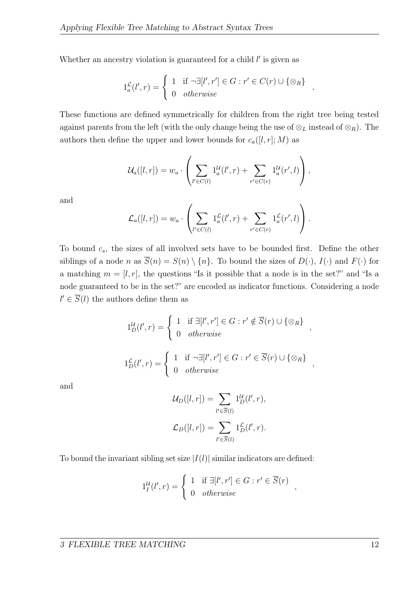Whether an ancestry violation is guaranteed for a child  $l'$  is given as

$$
1_a^{\mathcal{L}}(l',r) = \begin{cases} 1 & \text{if } \neg \exists [l',r'] \in G : r' \in C(r) \cup \{\otimes_R\} \\ 0 & otherwise \end{cases}
$$

.

These functions are defined symmetrically for children from the right tree being tested against parents from the left (with the only change being the use of  $\otimes_L$  instead of  $\otimes_R$ ). The authors then define the upper and lower bounds for  $c_a([l, r]; M)$  as

$$
\mathcal{U}_a([l,r]) = w_a \cdot \left( \sum_{l' \in C(l)} 1_a^{\mathcal{U}}(l',r) + \sum_{r' \in C(r)} 1_a^{\mathcal{U}}(r',l) \right),
$$

and

$$
\mathcal{L}_a([l,r]) = w_a \cdot \left( \sum_{l' \in C(l)} 1_a^{\mathcal{L}}(l',r) + \sum_{r' \in C(r)} 1_a^{\mathcal{L}}(r',l) \right).
$$

To bound  $c_s$ , the sizes of all involved sets have to be bounded first. Define the other siblings of a node n as  $\overline{S}(n) = S(n) \setminus \{n\}$ . To bound the sizes of  $D(\cdot)$ ,  $I(\cdot)$  and  $F(\cdot)$  for a matching  $m = [l, r]$ , the questions "Is it possible that a node is in the set?" and "Is a node guaranteed to be in the set?" are encoded as indicator functions. Considering a node  $l' \in \overline{S}(l)$  the authors define them as

$$
1_D^{\mathcal{U}}(l',r) = \begin{cases} 1 & \text{if } \exists [l',r'] \in G : r' \notin \overline{S}(r) \cup \{\otimes_R\} \\ 0 & otherwise \end{cases}
$$
  

$$
1_D^{\mathcal{L}}(l',r) = \begin{cases} 1 & \text{if } \neg \exists [l',r'] \in G : r' \in \overline{S}(r) \cup \{\otimes_R\} \\ 0 & otherwise \end{cases}
$$

and

$$
\mathcal{U}_D([l, r]) = \sum_{l' \in \overline{S}(l)} 1_D(l', r),
$$
  

$$
\mathcal{L}_D([l, r]) = \sum_{l' \in \overline{S}(l)} 1_D(\ell', r).
$$

To bound the invariant sibling set size  $|I(l)|$  similar indicators are defined:

$$
1_I^{\mathcal{U}}(l',r) = \begin{cases} 1 & \text{if } \exists [l',r'] \in G : r' \in \overline{S}(r) \\ 0 & otherwise \end{cases}
$$

,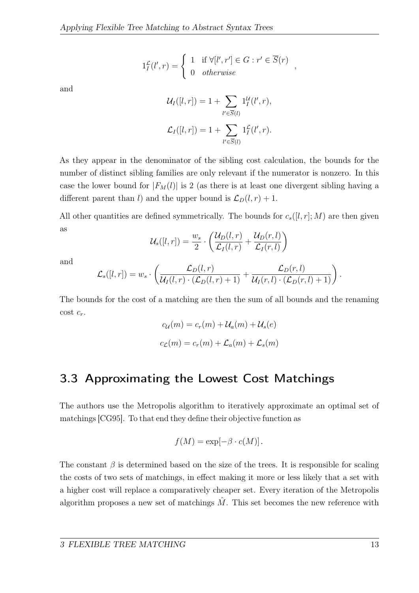$$
1_I^{\mathcal{L}}(l',r) = \begin{cases} 1 & \text{if } \forall [l',r'] \in G : r' \in \overline{S}(r) \\ 0 & otherwise \end{cases}
$$

,

<span id="page-22-1"></span>and

$$
\mathcal{U}_I([l, r]) = 1 + \sum_{l' \in \overline{S}(l)} 1_I^{\mathcal{U}}(l', r),
$$
  

$$
\mathcal{L}_I([l, r]) = 1 + \sum_{l' \in \overline{S}(l)} 1_I^{\mathcal{L}}(l', r).
$$

As they appear in the denominator of the sibling cost calculation, the bounds for the number of distinct sibling families are only relevant if the numerator is nonzero. In this case the lower bound for  $|F_M(l)|$  is 2 (as there is at least one divergent sibling having a different parent than l) and the upper bound is  $\mathcal{L}_D(l,r) + 1$ .

All other quantities are defined symmetrically. The bounds for  $c_s([l, r]; M)$  are then given as

$$
\mathcal{U}_s([l,r]) = \frac{w_s}{2} \cdot \left( \frac{\mathcal{U}_D(l,r)}{\mathcal{L}_I(l,r)} + \frac{\mathcal{U}_D(r,l)}{\mathcal{L}_I(r,l)} \right)
$$

and

$$
\mathcal{L}_s([l,r]) = w_s \cdot \left( \frac{\mathcal{L}_D(l,r)}{\mathcal{U}_I(l,r) \cdot (\mathcal{L}_D(l,r)+1)} + \frac{\mathcal{L}_D(r,l)}{\mathcal{U}_I(r,l) \cdot (\mathcal{L}_D(r,l)+1)} \right).
$$

The bounds for the cost of a matching are then the sum of all bounds and the renaming cost  $c_r$ .

$$
c_{\mathcal{U}}(m) = c_r(m) + \mathcal{U}_a(m) + \mathcal{U}_s(e)
$$

$$
c_{\mathcal{L}}(m) = c_r(m) + \mathcal{L}_a(m) + \mathcal{L}_s(m)
$$

### <span id="page-22-0"></span>3.3 Approximating the Lowest Cost Matchings

The authors use the Metropolis algorithm to iteratively approximate an optimal set of matchings [\[CG95\]](#page-51-5). To that end they define their objective function as

$$
f(M) = \exp[-\beta \cdot c(M)].
$$

The constant  $\beta$  is determined based on the size of the trees. It is responsible for scaling the costs of two sets of matchings, in effect making it more or less likely that a set with a higher cost will replace a comparatively cheaper set. Every iteration of the Metropolis algorithm proposes a new set of matchings  $\hat{M}$ . This set becomes the new reference with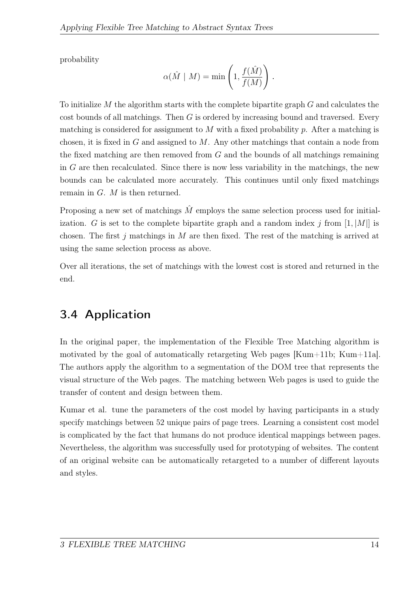<span id="page-23-1"></span>probability

$$
\alpha(\hat{M} \mid M) = \min\left(1, \frac{f(\hat{M})}{f(M)}\right).
$$

To initialize  $M$  the algorithm starts with the complete bipartite graph  $G$  and calculates the cost bounds of all matchings. Then  $G$  is ordered by increasing bound and traversed. Every matching is considered for assignment to  $M$  with a fixed probability  $p$ . After a matching is chosen, it is fixed in  $G$  and assigned to  $M$ . Any other matchings that contain a node from the fixed matching are then removed from G and the bounds of all matchings remaining in G are then recalculated. Since there is now less variability in the matchings, the new bounds can be calculated more accurately. This continues until only fixed matchings remain in G. M is then returned.

Proposing a new set of matchings  $\hat{M}$  employs the same selection process used for initialization. G is set to the complete bipartite graph and a random index j from  $[1, |M|]$  is chosen. The first  $j$  matchings in  $M$  are then fixed. The rest of the matching is arrived at using the same selection process as above.

Over all iterations, the set of matchings with the lowest cost is stored and returned in the end.

## <span id="page-23-0"></span>3.4 Application

In the original paper, the implementation of the Flexible Tree Matching algorithm is motivated by the goal of automatically retargeting Web pages  $[Kum+11b; Kum+11a]$  $[Kum+11b; Kum+11a]$  $[Kum+11b; Kum+11a]$ . The authors apply the algorithm to a segmentation of the DOM tree that represents the visual structure of the Web pages. The matching between Web pages is used to guide the transfer of content and design between them.

Kumar et al. tune the parameters of the cost model by having participants in a study specify matchings between 52 unique pairs of page trees. Learning a consistent cost model is complicated by the fact that humans do not produce identical mappings between pages. Nevertheless, the algorithm was successfully used for prototyping of websites. The content of an original website can be automatically retargeted to a number of different layouts and styles.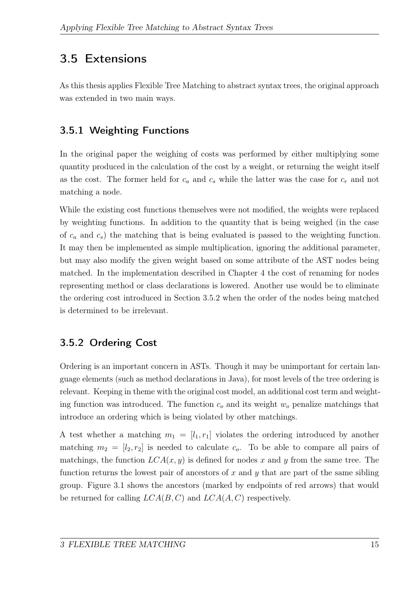### <span id="page-24-0"></span>3.5 Extensions

As this thesis applies Flexible Tree Matching to abstract syntax trees, the original approach was extended in two main ways.

### <span id="page-24-1"></span>3.5.1 Weighting Functions

In the original paper the weighing of costs was performed by either multiplying some quantity produced in the calculation of the cost by a weight, or returning the weight itself as the cost. The former held for  $c_a$  and  $c_s$  while the latter was the case for  $c_r$  and not matching a node.

While the existing cost functions themselves were not modified, the weights were replaced by weighting functions. In addition to the quantity that is being weighed (in the case of  $c_a$  and  $c_s$ ) the matching that is being evaluated is passed to the weighting function. It may then be implemented as simple multiplication, ignoring the additional parameter, but may also modify the given weight based on some attribute of the AST nodes being matched. In the implementation described in Chapter [4](#page-27-0) the cost of renaming for nodes representing method or class declarations is lowered. Another use would be to eliminate the ordering cost introduced in Section [3.5.2](#page-24-2) when the order of the nodes being matched is determined to be irrelevant.

### <span id="page-24-2"></span>3.5.2 Ordering Cost

Ordering is an important concern in ASTs. Though it may be unimportant for certain language elements (such as method declarations in Java), for most levels of the tree ordering is relevant. Keeping in theme with the original cost model, an additional cost term and weighting function was introduced. The function  $c<sub>o</sub>$  and its weight  $w<sub>o</sub>$  penalize matchings that introduce an ordering which is being violated by other matchings.

A test whether a matching  $m_1 = [l_1, r_1]$  violates the ordering introduced by another matching  $m_2 = [l_2, r_2]$  is needed to calculate  $c_o$ . To be able to compare all pairs of matchings, the function  $LCA(x, y)$  is defined for nodes x and y from the same tree. The function returns the lowest pair of ancestors of  $x$  and  $y$  that are part of the same sibling group. Figure [3.1](#page-25-0) shows the ancestors (marked by endpoints of red arrows) that would be returned for calling  $LCA(B, C)$  and  $LCA(A, C)$  respectively.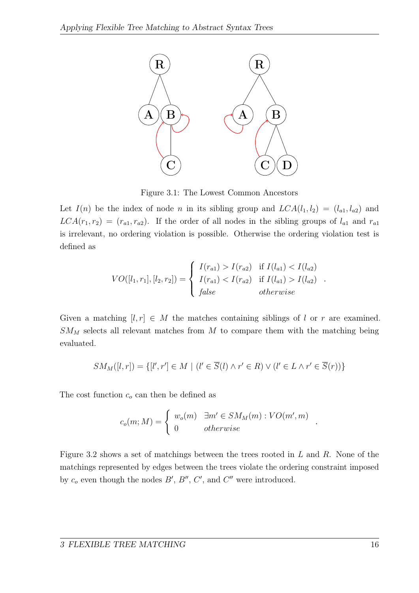

<span id="page-25-0"></span>Figure 3.1: The Lowest Common Ancestors

Let  $I(n)$  be the index of node n in its sibling group and  $LCA(l_1, l_2) = (l_{a1}, l_{a2})$  and  $LCA(r_1, r_2) = (r_{a1}, r_{a2})$ . If the order of all nodes in the sibling groups of  $l_{a1}$  and  $r_{a1}$ is irrelevant, no ordering violation is possible. Otherwise the ordering violation test is defined as

$$
VO([l_1, r_1], [l_2, r_2]) = \begin{cases} I(r_{a1}) > I(r_{a2}) & \text{if } I(l_{a1}) < I(l_{a2}) \\ I(r_{a1}) < I(r_{a2}) & \text{if } I(l_{a1}) > I(l_{a2}) \\ false & otherwise \end{cases}.
$$

Given a matching  $[l, r] \in M$  the matches containing siblings of l or r are examined.  $SM<sub>M</sub>$  selects all relevant matches from  $M$  to compare them with the matching being evaluated.

$$
SM_M([l,r]) = \{ [l',r'] \in M \mid (l' \in \overline{S}(l) \land r' \in R) \lor (l' \in L \land r' \in \overline{S}(r)) \}
$$

The cost function  $c<sub>o</sub>$  can then be defined as

$$
c_o(m; M) = \begin{cases} w_o(m) & \exists m' \in SM_M(m) : VO(m', m) \\ 0 & otherwise \end{cases}
$$

Figure [3.2](#page-26-0) shows a set of matchings between the trees rooted in  $L$  and  $R$ . None of the matchings represented by edges between the trees violate the ordering constraint imposed by  $c_o$  even though the nodes  $B'$ ,  $B''$ ,  $C'$ , and  $C''$  were introduced.

.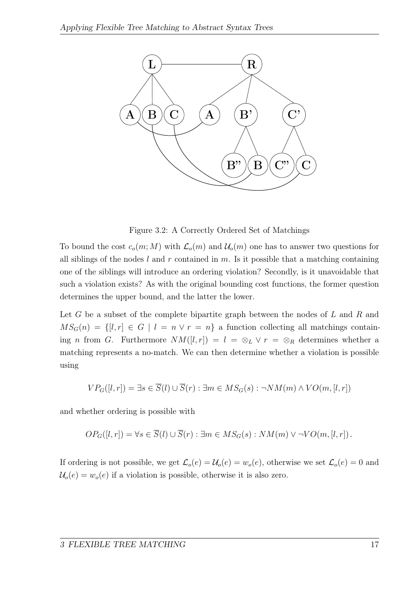

<span id="page-26-0"></span>Figure 3.2: A Correctly Ordered Set of Matchings

To bound the cost  $c_o(m; M)$  with  $\mathcal{L}_o(m)$  and  $\mathcal{U}_o(m)$  one has to answer two questions for all siblings of the nodes  $l$  and  $r$  contained in  $m$ . Is it possible that a matching containing one of the siblings will introduce an ordering violation? Secondly, is it unavoidable that such a violation exists? As with the original bounding cost functions, the former question determines the upper bound, and the latter the lower.

Let  $G$  be a subset of the complete bipartite graph between the nodes of  $L$  and  $R$  and  $MS_G(n) = \{[l, r] \in G \mid l = n \vee r = n\}$  a function collecting all matchings containing n from G. Furthermore  $NM([l, r]) = l = \otimes_L \vee r = \otimes_R$  determines whether a matching represents a no-match. We can then determine whether a violation is possible using

$$
VP_G([l, r]) = \exists s \in \overline{S}(l) \cup \overline{S}(r) : \exists m \in MS_G(s) : \neg NM(m) \land VO(m, [l, r])
$$

and whether ordering is possible with

$$
OP_G([l, r]) = \forall s \in \overline{S}(l) \cup \overline{S}(r) : \exists m \in MS_G(s) : NM(m) \vee \neg VO(m, [l, r]).
$$

If ordering is not possible, we get  $\mathcal{L}_o(e) = \mathcal{U}_o(e) = w_o(e)$ , otherwise we set  $\mathcal{L}_o(e) = 0$  and  $U_o(e) = w_o(e)$  if a violation is possible, otherwise it is also zero.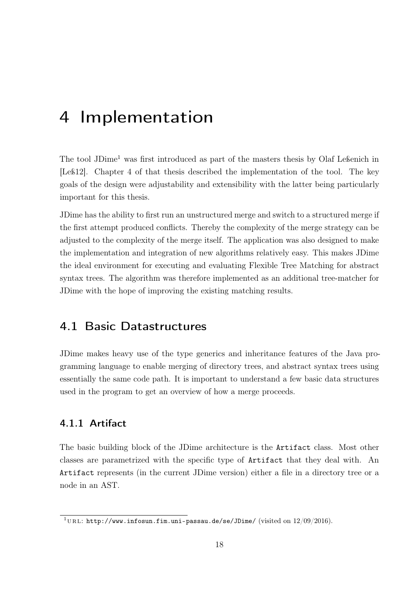# <span id="page-27-4"></span><span id="page-27-0"></span>4 Implementation

The tool JDime<sup>[1](#page-27-3)</sup> was first introduced as part of the masters thesis by Olaf Leßenich in [\[Leß12\]](#page-52-1). Chapter 4 of that thesis described the implementation of the tool. The key goals of the design were adjustability and extensibility with the latter being particularly important for this thesis.

JDime has the ability to first run an unstructured merge and switch to a structured merge if the first attempt produced conflicts. Thereby the complexity of the merge strategy can be adjusted to the complexity of the merge itself. The application was also designed to make the implementation and integration of new algorithms relatively easy. This makes JDime the ideal environment for executing and evaluating Flexible Tree Matching for abstract syntax trees. The algorithm was therefore implemented as an additional tree-matcher for JDime with the hope of improving the existing matching results.

#### <span id="page-27-1"></span>4.1 Basic Datastructures

JDime makes heavy use of the type generics and inheritance features of the Java programming language to enable merging of directory trees, and abstract syntax trees using essentially the same code path. It is important to understand a few basic data structures used in the program to get an overview of how a merge proceeds.

#### <span id="page-27-2"></span>4.1.1 Artifact

The basic building block of the JDime architecture is the Artifact class. Most other classes are parametrized with the specific type of Artifact that they deal with. An Artifact represents (in the current JDime version) either a file in a directory tree or a node in an AST.

<span id="page-27-3"></span><sup>&</sup>lt;sup>1</sup>URL: <http://www.infosun.fim.uni-passau.de/se/JDime/> (visited on  $12/09/2016$ ).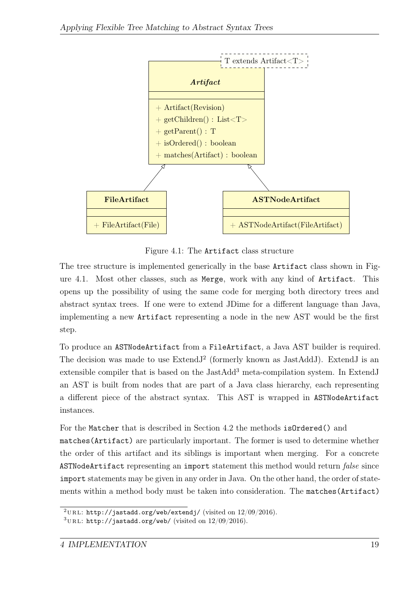

<span id="page-28-0"></span>Figure 4.1: The Artifact class structure

The tree structure is implemented generically in the base Artifact class shown in Figure [4.1.](#page-28-0) Most other classes, such as Merge, work with any kind of Artifact. This opens up the possibility of using the same code for merging both directory trees and abstract syntax trees. If one were to extend JDime for a different language than Java, implementing a new Artifact representing a node in the new AST would be the first step.

To produce an ASTNodeArtifact from a FileArtifact, a Java AST builder is required. The decision was made to use  $ExtendJ<sup>2</sup>$  $ExtendJ<sup>2</sup>$  $ExtendJ<sup>2</sup>$  (formerly known as JastAddJ). ExtendJ is an extensible compiler that is based on the JastAdd<sup>[3](#page-28-2)</sup> meta-compilation system. In ExtendJ an AST is built from nodes that are part of a Java class hierarchy, each representing a different piece of the abstract syntax. This AST is wrapped in ASTNodeArtifact instances.

For the Matcher that is described in Section [4.2](#page-31-1) the methods isOrdered() and matches(Artifact) are particularly important. The former is used to determine whether the order of this artifact and its siblings is important when merging. For a concrete ASTNodeArtifact representing an import statement this method would return false since import statements may be given in any order in Java. On the other hand, the order of statements within a method body must be taken into consideration. The matches(Artifact)

<span id="page-28-1"></span><sup>&</sup>lt;sup>2</sup>URL: <http://jastadd.org/web/extendj/> (visited on  $12/09/2016$ ).

<span id="page-28-2"></span> $3$ URL: <http://jastadd.org/web/> (visited on  $12/09/2016$ ).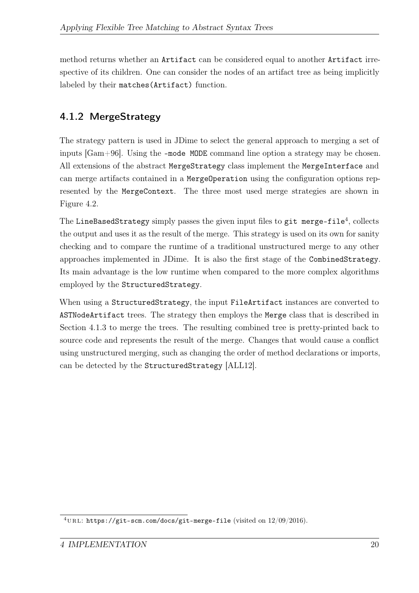<span id="page-29-2"></span>method returns whether an Artifact can be considered equal to another Artifact irrespective of its children. One can consider the nodes of an artifact tree as being implicitly labeled by their matches(Artifact) function.

### <span id="page-29-0"></span>4.1.2 MergeStrategy

The strategy pattern is used in JDime to select the general approach to merging a set of inputs [\[Gam+96\]](#page-52-6). Using the -mode MODE command line option a strategy may be chosen. All extensions of the abstract MergeStrategy class implement the MergeInterface and can merge artifacts contained in a MergeOperation using the configuration options represented by the MergeContext. The three most used merge strategies are shown in Figure [4.2.](#page-30-0)

The LineBasedStrategy simply passes the given input files to  $\mathtt{git\ merge\text{-}file^4},$  $\mathtt{git\ merge\text{-}file^4},$  $\mathtt{git\ merge\text{-}file^4},$  collects the output and uses it as the result of the merge. This strategy is used on its own for sanity checking and to compare the runtime of a traditional unstructured merge to any other approaches implemented in JDime. It is also the first stage of the CombinedStrategy. Its main advantage is the low runtime when compared to the more complex algorithms employed by the StructuredStrategy.

When using a StructuredStrategy, the input FileArtifact instances are converted to ASTNodeArtifact trees. The strategy then employs the Merge class that is described in Section [4.1.3](#page-31-0) to merge the trees. The resulting combined tree is pretty-printed back to source code and represents the result of the merge. Changes that would cause a conflict using unstructured merging, such as changing the order of method declarations or imports, can be detected by the StructuredStrategy [\[ALL12\]](#page-51-6).

<span id="page-29-1"></span> $^{4}$ URL: <https://git-scm.com/docs/git-merge-file> (visited on  $12/09/2016$ ).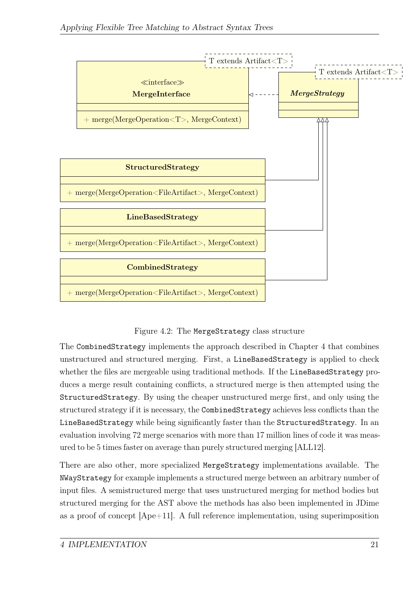<span id="page-30-1"></span>

#### <span id="page-30-0"></span>Figure 4.2: The MergeStrategy class structure

The CombinedStrategy implements the approach described in Chapter [4](#page-27-0) that combines unstructured and structured merging. First, a LineBasedStrategy is applied to check whether the files are mergeable using traditional methods. If the LineBasedStrategy produces a merge result containing conflicts, a structured merge is then attempted using the StructuredStrategy. By using the cheaper unstructured merge first, and only using the structured strategy if it is necessary, the CombinedStrategy achieves less conflicts than the LineBasedStrategy while being significantly faster than the StructuredStrategy. In an evaluation involving 72 merge scenarios with more than 17 million lines of code it was measured to be 5 times faster on average than purely structured merging [\[ALL12\]](#page-51-6).

There are also other, more specialized MergeStrategy implementations available. The NWayStrategy for example implements a structured merge between an arbitrary number of input files. A semistructured merge that uses unstructured merging for method bodies but structured merging for the AST above the methods has also been implemented in JDime as a proof of concept  $[Ape+11]$ . A full reference implementation, using superimposition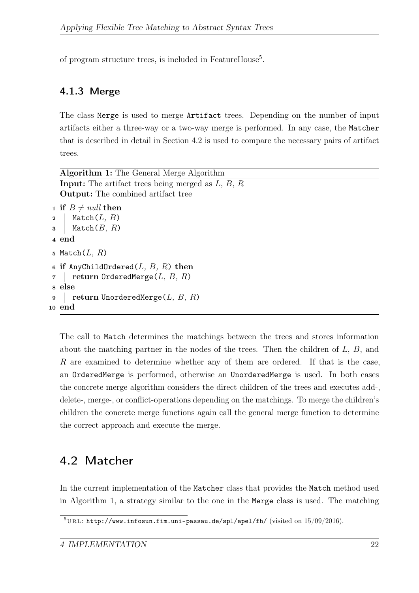of program structure trees, is included in FeatureHouse<sup>[5](#page-31-3)</sup>.

#### <span id="page-31-0"></span>4.1.3 Merge

The class Merge is used to merge Artifact trees. Depending on the number of input artifacts either a three-way or a two-way merge is performed. In any case, the Matcher that is described in detail in Section [4.2](#page-31-1) is used to compare the necessary pairs of artifact trees.

| <b>Algorithm 1:</b> The General Merge Algorithm            |
|------------------------------------------------------------|
| <b>Input:</b> The artifact trees being merged as $L, B, R$ |
| <b>Output:</b> The combined artifact tree                  |
| 1 if $B \neq null$ then                                    |
| $\texttt{Match}(L, B)$<br>$\overline{2}$                   |
| $\texttt{Match}(B,\,R)$<br>$\bf{3}$                        |
| 4 end                                                      |
| 5 Match $(L, R)$                                           |
| 6 if AnyChildOrdered( $L, B, R$ ) then                     |
| return OrderedMerge $(L, B, R)$                            |
| 8 else                                                     |
| return UnorderedMerge $(L, B, R)$<br>9                     |
| 10 end                                                     |

<span id="page-31-2"></span>The call to Match determines the matchings between the trees and stores information about the matching partner in the nodes of the trees. Then the children of  $L, B$ , and  $R$  are examined to determine whether any of them are ordered. If that is the case, an OrderedMerge is performed, otherwise an UnorderedMerge is used. In both cases the concrete merge algorithm considers the direct children of the trees and executes add-, delete-, merge-, or conflict-operations depending on the matchings. To merge the children's children the concrete merge functions again call the general merge function to determine the correct approach and execute the merge.

### <span id="page-31-1"></span>4.2 Matcher

In the current implementation of the Matcher class that provides the Match method used in Algorithm [1,](#page-31-2) a strategy similar to the one in the Merge class is used. The matching

<span id="page-31-3"></span> $^{5}\rm{URL:~http://www.infosun.fim.uni-passau.de/spl/apel/fh/}$  $^{5}\rm{URL:~http://www.infosun.fim.uni-passau.de/spl/apel/fh/}$  $^{5}\rm{URL:~http://www.infosun.fim.uni-passau.de/spl/apel/fh/}$  (visited on 15/09/2016).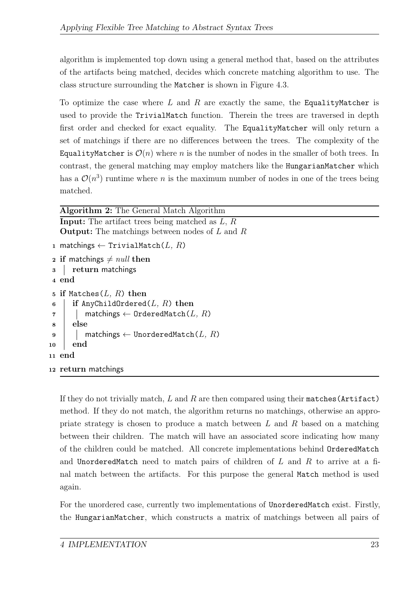algorithm is implemented top down using a general method that, based on the attributes of the artifacts being matched, decides which concrete matching algorithm to use. The class structure surrounding the Matcher is shown in Figure [4.3.](#page-33-0)

To optimize the case where L and R are exactly the same, the EqualityMatcher is used to provide the TrivialMatch function. Therein the trees are traversed in depth first order and checked for exact equality. The EqualityMatcher will only return a set of matchings if there are no differences between the trees. The complexity of the EqualityMatcher is  $\mathcal{O}(n)$  where n is the number of nodes in the smaller of both trees. In contrast, the general matching may employ matchers like the HungarianMatcher which has a  $\mathcal{O}(n^3)$  runtime where *n* is the maximum number of nodes in one of the trees being matched.

```
Algorithm 2: The General Match Algorithm
   Input: The artifact trees being matched as L, ROutput: The matchings between nodes of L and R
1 matchings \leftarrow TrivialMatch(L, R)
2 if matchings \neq null then
3 return matchings
4 end
5 if Matches(L, R) then
6 if AnyChildOrdered(L, R) then
\tau | matchings \leftarrow OrderedMatch(L, R)
8 else
9 | matchings \leftarrow UnorderedMatch(L, R)10 end
11 end
12 return matchings
```
<span id="page-32-0"></span>If they do not trivially match,  $L$  and  $R$  are then compared using their matches (Artifact) method. If they do not match, the algorithm returns no matchings, otherwise an appropriate strategy is chosen to produce a match between  $L$  and  $R$  based on a matching between their children. The match will have an associated score indicating how many of the children could be matched. All concrete implementations behind OrderedMatch and UnorderedMatch need to match pairs of children of  $L$  and  $R$  to arrive at a final match between the artifacts. For this purpose the general Match method is used again.

For the unordered case, currently two implementations of UnorderedMatch exist. Firstly, the HungarianMatcher, which constructs a matrix of matchings between all pairs of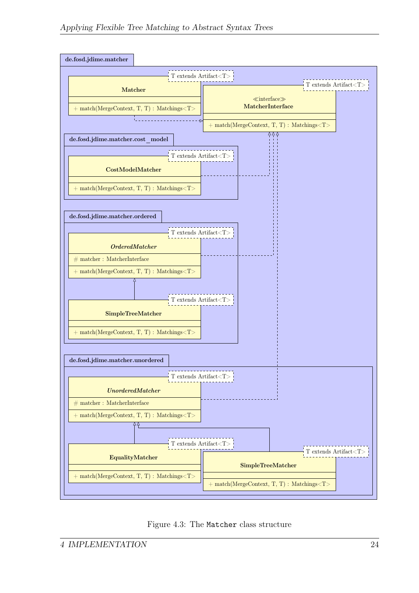<span id="page-33-0"></span>

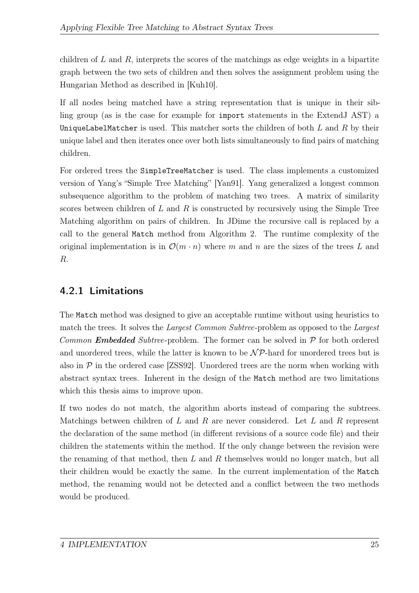<span id="page-34-1"></span>children of  $L$  and  $R$ , interprets the scores of the matchings as edge weights in a bipartite graph between the two sets of children and then solves the assignment problem using the Hungarian Method as described in [\[Kuh10\]](#page-52-7).

If all nodes being matched have a string representation that is unique in their sibling group (as is the case for example for import statements in the ExtendJ AST) a UniqueLabelMatcher is used. This matcher sorts the children of both  $L$  and  $R$  by their unique label and then iterates once over both lists simultaneously to find pairs of matching children.

For ordered trees the SimpleTreeMatcher is used. The class implements a customized version of Yang's "Simple Tree Matching" [\[Yan91\]](#page-52-8). Yang generalized a longest common subsequence algorithm to the problem of matching two trees. A matrix of similarity scores between children of  $L$  and  $R$  is constructed by recursively using the Simple Tree Matching algorithm on pairs of children. In JDime the recursive call is replaced by a call to the general Match method from Algorithm [2.](#page-32-0) The runtime complexity of the original implementation is in  $\mathcal{O}(m \cdot n)$  where m and n are the sizes of the trees L and R.

### <span id="page-34-0"></span>4.2.1 Limitations

The Match method was designed to give an acceptable runtime without using heuristics to match the trees. It solves the *Largest Common Subtree*-problem as opposed to the *Largest* Common **Embedded** Subtree-problem. The former can be solved in  $P$  for both ordered and unordered trees, while the latter is known to be  $\mathcal{NP}$ -hard for unordered trees but is also in  $P$  in the ordered case [\[ZSS92\]](#page-52-9). Unordered trees are the norm when working with abstract syntax trees. Inherent in the design of the Match method are two limitations which this thesis aims to improve upon.

If two nodes do not match, the algorithm aborts instead of comparing the subtrees. Matchings between children of L and R are never considered. Let L and R represent the declaration of the same method (in different revisions of a source code file) and their children the statements within the method. If the only change between the revision were the renaming of that method, then  $L$  and  $R$  themselves would no longer match, but all their children would be exactly the same. In the current implementation of the Match method, the renaming would not be detected and a conflict between the two methods would be produced.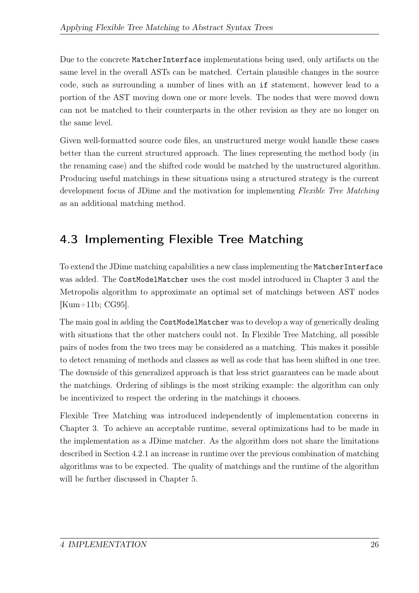<span id="page-35-1"></span>Due to the concrete MatcherInterface implementations being used, only artifacts on the same level in the overall ASTs can be matched. Certain plausible changes in the source code, such as surrounding a number of lines with an if statement, however lead to a portion of the AST moving down one or more levels. The nodes that were moved down can not be matched to their counterparts in the other revision as they are no longer on the same level.

Given well-formatted source code files, an unstructured merge would handle these cases better than the current structured approach. The lines representing the method body (in the renaming case) and the shifted code would be matched by the unstructured algorithm. Producing useful matchings in these situations using a structured strategy is the current development focus of JDime and the motivation for implementing Flexible Tree Matching as an additional matching method.

## <span id="page-35-0"></span>4.3 Implementing Flexible Tree Matching

To extend the JDime matching capabilities a new class implementing the MatcherInterface was added. The CostModelMatcher uses the cost model introduced in Chapter [3](#page-18-0) and the Metropolis algorithm to approximate an optimal set of matchings between AST nodes [\[Kum+11b;](#page-52-3) [CG95\]](#page-51-5).

The main goal in adding the CostModelMatcher was to develop a way of generically dealing with situations that the other matchers could not. In Flexible Tree Matching, all possible pairs of nodes from the two trees may be considered as a matching. This makes it possible to detect renaming of methods and classes as well as code that has been shifted in one tree. The downside of this generalized approach is that less strict guarantees can be made about the matchings. Ordering of siblings is the most striking example: the algorithm can only be incentivized to respect the ordering in the matchings it chooses.

Flexible Tree Matching was introduced independently of implementation concerns in Chapter [3.](#page-18-0) To achieve an acceptable runtime, several optimizations had to be made in the implementation as a JDime matcher. As the algorithm does not share the limitations described in Section [4.2.1](#page-34-0) an increase in runtime over the previous combination of matching algorithms was to be expected. The quality of matchings and the runtime of the algorithm will be further discussed in Chapter [5.](#page-42-0)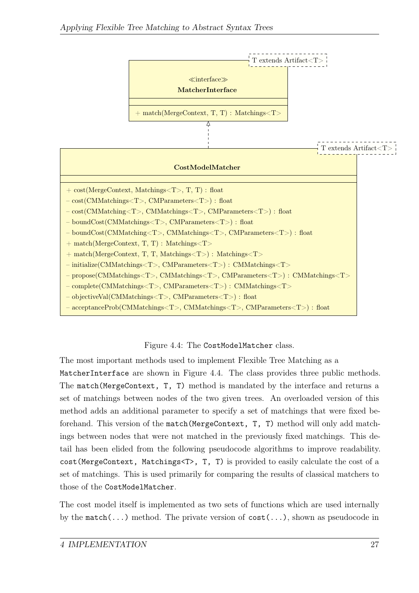

<span id="page-36-0"></span>Figure 4.4: The CostModelMatcher class.

The most important methods used to implement Flexible Tree Matching as a MatcherInterface are shown in Figure [4.4.](#page-36-0) The class provides three public methods. The match(MergeContext, T, T) method is mandated by the interface and returns a set of matchings between nodes of the two given trees. An overloaded version of this method adds an additional parameter to specify a set of matchings that were fixed beforehand. This version of the match(MergeContext, T, T) method will only add matchings between nodes that were not matched in the previously fixed matchings. This detail has been elided from the following pseudocode algorithms to improve readability. cost(MergeContext, Matchings<T>, T, T) is provided to easily calculate the cost of a set of matchings. This is used primarily for comparing the results of classical matchers to those of the CostModelMatcher.

The cost model itself is implemented as two sets of functions which are used internally by the match( $\dots$ ) method. The private version of  $cost(\dots)$ , shown as pseudocode in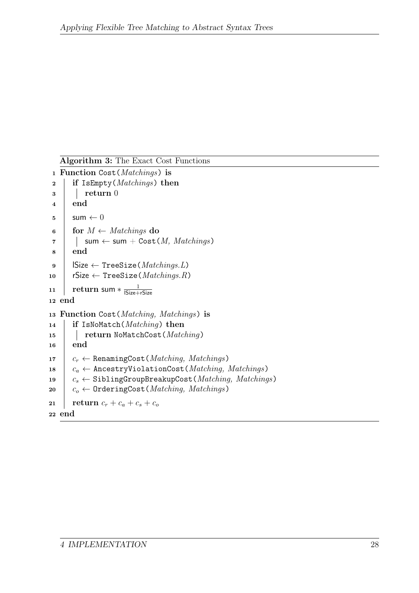```
Algorithm 3: The Exact Cost Functions
1 Function Cost(Matchings) is
2 if IsEmpty(Matchings) then
\vert return 0
4 end
5 \mid \text{sum} \leftarrow 06 for M \leftarrow \text{Matchings} do
7 | sum \leftarrow sum + Cost(M, Matchings)
8 end
9 | \text{Size} \leftarrow \text{TreeSize}(Matchings.L)10 \vert rSize \leftarrow TreeSize(Matchings.R)
11 return sum * \frac{1}{|Size+}lSize+rSize
12 end
13 Function Cost(Matching, Matchings) is
14 if IsNoMatch(Matching) then
15 | return NoMatchCost(Matching)
16 end
17 c_r \leftarrow RenamingCost(Matching, Matchings)
18 c_a \leftarrow AncestryViolationCost(Matching, Matchings)
19 c_s \leftarrow SiblingGroupBreakupCost(Matching, Matchings)
20 c_0 \leftarrow OrderingCost (Matching, Matchings)
21 | return c_r + c_a + c_s + c_o22 end
```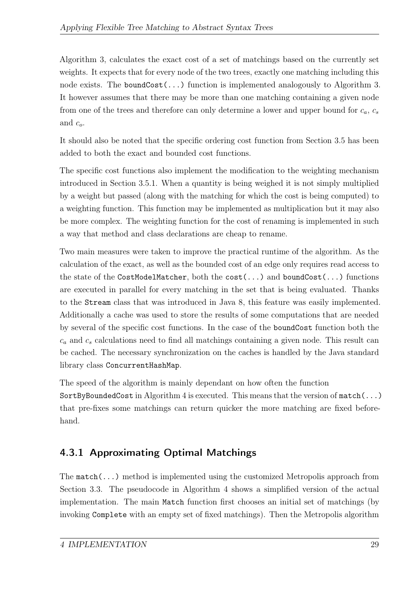Algorithm [3,](#page-37-0) calculates the exact cost of a set of matchings based on the currently set weights. It expects that for every node of the two trees, exactly one matching including this node exists. The boundCost( $\ldots$ ) function is implemented analogously to Algorithm [3.](#page-37-0) It however assumes that there may be more than one matching containing a given node from one of the trees and therefore can only determine a lower and upper bound for  $c_a, c_s$ and  $c_o$ .

It should also be noted that the specific ordering cost function from Section [3.5](#page-24-0) has been added to both the exact and bounded cost functions.

The specific cost functions also implement the modification to the weighting mechanism introduced in Section [3.5.1.](#page-24-1) When a quantity is being weighed it is not simply multiplied by a weight but passed (along with the matching for which the cost is being computed) to a weighting function. This function may be implemented as multiplication but it may also be more complex. The weighting function for the cost of renaming is implemented in such a way that method and class declarations are cheap to rename.

Two main measures were taken to improve the practical runtime of the algorithm. As the calculation of the exact, as well as the bounded cost of an edge only requires read access to the state of the CostModelMatcher, both the cost(...) and boundCost(...) functions are executed in parallel for every matching in the set that is being evaluated. Thanks to the Stream class that was introduced in Java 8, this feature was easily implemented. Additionally a cache was used to store the results of some computations that are needed by several of the specific cost functions. In the case of the boundCost function both the  $c_a$  and  $c_s$  calculations need to find all matchings containing a given node. This result can be cached. The necessary synchronization on the caches is handled by the Java standard library class ConcurrentHashMap.

The speed of the algorithm is mainly dependant on how often the function SortByBoundedCost in Algorithm [4](#page-40-0) is executed. This means that the version of match(...) that pre-fixes some matchings can return quicker the more matching are fixed beforehand.

### <span id="page-38-0"></span>4.3.1 Approximating Optimal Matchings

The  $match(\ldots)$  method is implemented using the customized Metropolis approach from Section [3.3.](#page-22-0) The pseudocode in Algorithm [4](#page-40-0) shows a simplified version of the actual implementation. The main Match function first chooses an initial set of matchings (by invoking Complete with an empty set of fixed matchings). Then the Metropolis algorithm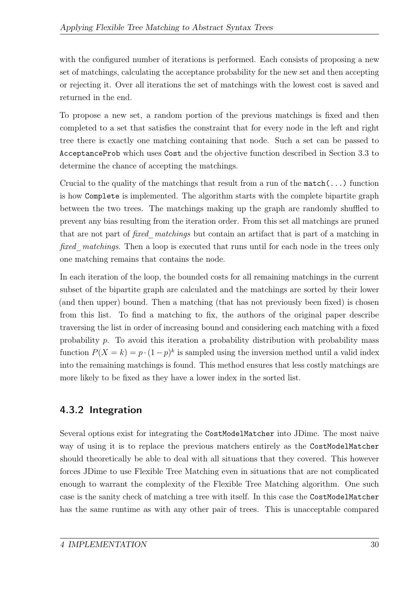with the configured number of iterations is performed. Each consists of proposing a new set of matchings, calculating the acceptance probability for the new set and then accepting or rejecting it. Over all iterations the set of matchings with the lowest cost is saved and returned in the end.

To propose a new set, a random portion of the previous matchings is fixed and then completed to a set that satisfies the constraint that for every node in the left and right tree there is exactly one matching containing that node. Such a set can be passed to AcceptanceProb which uses Cost and the objective function described in Section [3.3](#page-22-0) to determine the chance of accepting the matchings.

Crucial to the quality of the matchings that result from a run of the  $match(\ldots)$  function is how Complete is implemented. The algorithm starts with the complete bipartite graph between the two trees. The matchings making up the graph are randomly shuffled to prevent any bias resulting from the iteration order. From this set all matchings are pruned that are not part of *fixed* matchings but contain an artifact that is part of a matching in fixed matchings. Then a loop is executed that runs until for each node in the trees only one matching remains that contains the node.

In each iteration of the loop, the bounded costs for all remaining matchings in the current subset of the bipartite graph are calculated and the matchings are sorted by their lower (and then upper) bound. Then a matching (that has not previously been fixed) is chosen from this list. To find a matching to fix, the authors of the original paper describe traversing the list in order of increasing bound and considering each matching with a fixed probability  $p$ . To avoid this iteration a probability distribution with probability mass function  $P(X = k) = p \cdot (1-p)^k$  is sampled using the inversion method until a valid index into the remaining matchings is found. This method ensures that less costly matchings are more likely to be fixed as they have a lower index in the sorted list.

### <span id="page-39-0"></span>4.3.2 Integration

Several options exist for integrating the CostModelMatcher into JDime. The most naive way of using it is to replace the previous matchers entirely as the CostModelMatcher should theoretically be able to deal with all situations that they covered. This however forces JDime to use Flexible Tree Matching even in situations that are not complicated enough to warrant the complexity of the Flexible Tree Matching algorithm. One such case is the sanity check of matching a tree with itself. In this case the CostModelMatcher has the same runtime as with any other pair of trees. This is unacceptable compared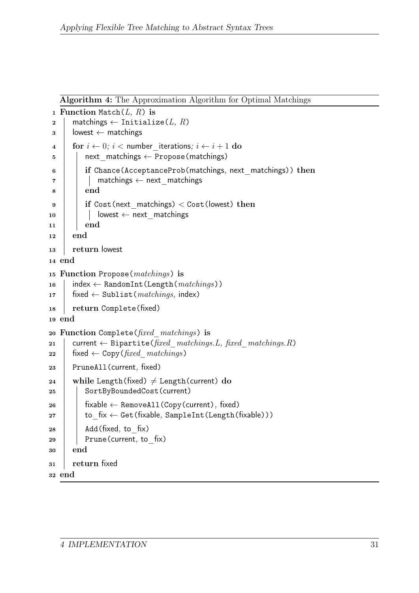```
Algorithm 4: The Approximation Algorithm for Optimal Matchings
```

```
1 Function Match(L, R) is
2 matchings \leftarrow Initialize(L, R)
\mathbf{3} | lowest \leftarrow matchings
4 for i \leftarrow 0; i < number iterations; i \leftarrow i + 1 do
5 | | next matchings \leftarrow Propose(matchings)
6 if Chance(AcceptanceProb(matchings, next matchings)) then
7 | | matchings \leftarrow next matchings
8 | end
9 if Cost(next_matchings) < Cost(lowest) then
10 | | lowest \leftarrow next matchings
11 end
12 end
13 return lowest
14 end
15 Function Propose(matchings) is
16 index \leftarrow RandomInt (Length (matchings))
17 | fixed \leftarrow Sublist(matchings, index)
18 | return Complete(fixed)
19 end
20 Function Complete(fixed_matchings) is
21 current ← Bipartite(fixed matchings.L, fixed matchings.R)
22 Fixed \leftarrow Copy(fixed matchings)
23 PruneAll(current, fixed)
24 while Length(fixed) \neq Length(current) do
25 | SortByBoundedCost (current)
26 | fixable ← RemoveAll(Copy(current), fixed)
27 | to_fix \leftarrow Get(fixable, SampleInt(Length(fixable)))
28 | Add(fixed, to fix)
29 | Prune(current, to fix)
30 end
31 return fixed
32 end
```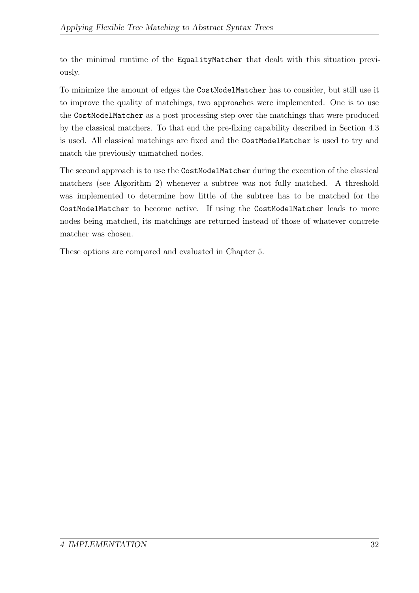to the minimal runtime of the EqualityMatcher that dealt with this situation previously.

To minimize the amount of edges the CostModelMatcher has to consider, but still use it to improve the quality of matchings, two approaches were implemented. One is to use the CostModelMatcher as a post processing step over the matchings that were produced by the classical matchers. To that end the pre-fixing capability described in Section [4.3](#page-36-0) is used. All classical matchings are fixed and the CostModelMatcher is used to try and match the previously unmatched nodes.

The second approach is to use the CostModelMatcher during the execution of the classical matchers (see Algorithm [2\)](#page-32-0) whenever a subtree was not fully matched. A threshold was implemented to determine how little of the subtree has to be matched for the CostModelMatcher to become active. If using the CostModelMatcher leads to more nodes being matched, its matchings are returned instead of those of whatever concrete matcher was chosen.

These options are compared and evaluated in Chapter [5.](#page-42-0)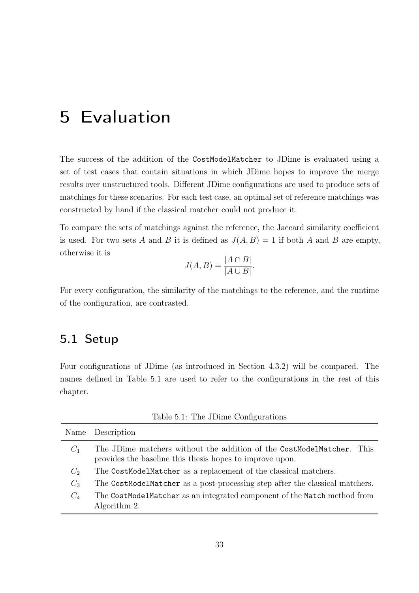# <span id="page-42-0"></span>5 Evaluation

The success of the addition of the CostModelMatcher to JDime is evaluated using a set of test cases that contain situations in which JDime hopes to improve the merge results over unstructured tools. Different JDime configurations are used to produce sets of matchings for these scenarios. For each test case, an optimal set of reference matchings was constructed by hand if the classical matcher could not produce it.

To compare the sets of matchings against the reference, the Jaccard similarity coefficient is used. For two sets A and B it is defined as  $J(A, B) = 1$  if both A and B are empty, otherwise it is

$$
J(A, B) = \frac{|A \cap B|}{|A \cup B|}.
$$

For every configuration, the similarity of the matchings to the reference, and the runtime of the configuration, are contrasted.

#### <span id="page-42-1"></span>5.1 Setup

Four configurations of JDime (as introduced in Section [4.3.2\)](#page-39-0) will be compared. The names defined in Table [5.1](#page-42-2) are used to refer to the configurations in the rest of this chapter.

<span id="page-42-2"></span>

|       | Name Description                                                                                                                  |  |
|-------|-----------------------------------------------------------------------------------------------------------------------------------|--|
| $C_1$ | The JDime matchers without the addition of the CostModelMatcher. This<br>provides the baseline this thesis hopes to improve upon. |  |
| $C_2$ | The CostModelMatcher as a replacement of the classical matchers.                                                                  |  |
| $C_3$ | The CostModelMatcher as a post-processing step after the classical matchers.                                                      |  |
| $C_4$ | The CostModelMatcher as an integrated component of the Match method from<br>Algorithm 2.                                          |  |

Table 5.1: The JDime Configurations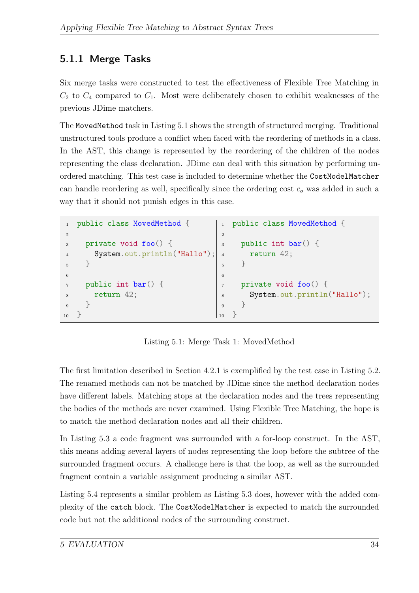### <span id="page-43-0"></span>5.1.1 Merge Tasks

Six merge tasks were constructed to test the effectiveness of Flexible Tree Matching in  $C_2$  to  $C_4$  compared to  $C_1$ . Most were deliberately chosen to exhibit weaknesses of the previous JDime matchers.

The MovedMethod task in Listing [5.1](#page-43-1) shows the strength of structured merging. Traditional unstructured tools produce a conflict when faced with the reordering of methods in a class. In the AST, this change is represented by the reordering of the children of the nodes representing the class declaration. JDime can deal with this situation by performing unordered matching. This test case is included to determine whether the CostModelMatcher can handle reordering as well, specifically since the ordering cost  $c<sub>o</sub>$  was added in such a way that it should not punish edges in this case.

```
public class MovedMethod {
\overline{2}3 private void foo() {
4 System.out.println("Hallo");
5 }
6
7 public int bar() {
8 return 42;
9 }
10 }
                                   1 public class MovedMethod {
                                   \circ3 public int bar() {
                                   4 return 42;
                                        5 }
                                   6
                                   7 private void foo() {
                                   8 System.out.println("Hallo");
                                   9 }
                                   10 }
```
<span id="page-43-1"></span>Listing 5.1: Merge Task 1: MovedMethod

The first limitation described in Section [4.2.1](#page-34-0) is exemplified by the test case in Listing [5.2.](#page-44-0) The renamed methods can not be matched by JDime since the method declaration nodes have different labels. Matching stops at the declaration nodes and the trees representing the bodies of the methods are never examined. Using Flexible Tree Matching, the hope is to match the method declaration nodes and all their children.

In Listing [5.3](#page-44-1) a code fragment was surrounded with a for-loop construct. In the AST, this means adding several layers of nodes representing the loop before the subtree of the surrounded fragment occurs. A challenge here is that the loop, as well as the surrounded fragment contain a variable assignment producing a similar AST.

Listing [5.4](#page-44-2) represents a similar problem as Listing [5.3](#page-44-1) does, however with the added complexity of the catch block. The CostModelMatcher is expected to match the surrounded code but not the additional nodes of the surrounding construct.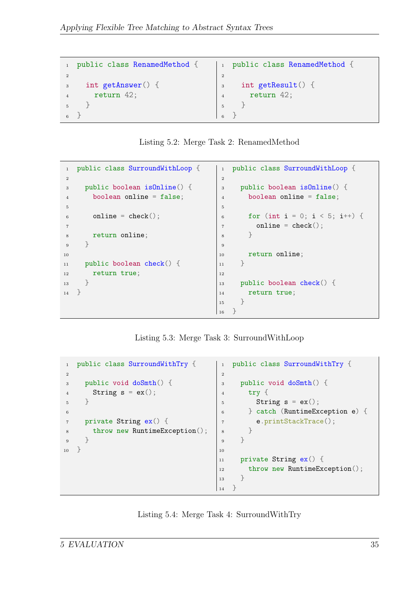```
1 public class RenamedMethod {
\overline{2}3 int getAnswer() {
4 return 42;
5 }
6 }
                                    | 1 public class RenamedMethod {
                                     \overline{2}3 int getResult() {
                                     4 return 42;
                                     5 }
                                     6 }
```
<span id="page-44-0"></span>

|  | Listing 5.2: Merge Task 2: RenamedMethod |
|--|------------------------------------------|
|  |                                          |

```
1 public class SurroundWithLoop {
2
3 public boolean isOnline() {
4 boolean online = false;
5
6 online = check();
7
8 return online;
9 }
10
11 public boolean check() {
12 return true;
13 \t314 }
                                   1 public class SurroundWithLoop {
                                    2
                                    3 public boolean isOnline() {
                                    4 boolean online = false;
                                    5
                                    6 for (int i = 0; i < 5; i++) {
                                    7 online = check();
                                    8 }
                                    9
                                   10 return online;
                                   11 }
                                   12
                                   13 public boolean check() {
                                   14 return true;
                                   15 }
                                   \vert_{16} }
```
<span id="page-44-1"></span>Listing 5.3: Merge Task 3: SurroundWithLoop

```
1 public class SurroundWithTry {
2
3 public void doSmth() {
4 String s = ex();
5 }
6
7 private String ex() {
8 throw new RuntimeException();
9 }
10 }
                                  1 public class SurroundWithTry {
                                   2
                                   3 public void doSmth() {
                                   4 try {
                                   5 String s = ex();
                                   6 } catch (RuntimeException e) {
                                   7 e.printStackTrace();
                                   8 }
                                   9 }
                                  10
                                  11 private String ex() {
                                  12 throw new RuntimeException();
                                  13 }
                                  \vert 14 }
```
<span id="page-44-2"></span>Listing 5.4: Merge Task 4: SurroundWithTry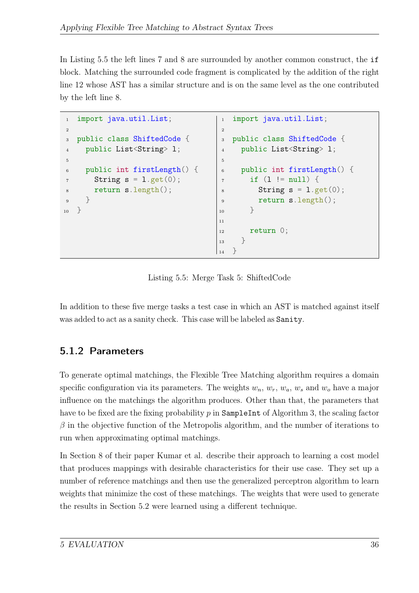In Listing [5.5](#page-45-1) the left lines 7 and 8 are surrounded by another common construct, the if block. Matching the surrounded code fragment is complicated by the addition of the right line 12 whose AST has a similar structure and is on the same level as the one contributed by the left line 8.

```
1 import java.util.List;
2
3 public class ShiftedCode {
4 public List<String> 1;
5
6 public int firstLength() {
\tau String s = 1.get(0);8 return s.length();
9 }
10 }
                                      1 import java.util.List;
                                      \overline{2}3 public class ShiftedCode {
                                      4 public List<String> 1;
                                      5
                                      6 public int firstLength() {
                                      7 \quad \text{if} \quad (1 \text{ != null}) \ \{\text{string } s = 1 \text{.get}(0);9 return s.length();
                                     10 }
                                     11
                                     12 return 0;
                                     13 }
                                     14 }
```
<span id="page-45-1"></span>Listing 5.5: Merge Task 5: ShiftedCode

In addition to these five merge tasks a test case in which an AST is matched against itself was added to act as a sanity check. This case will be labeled as Sanity.

### <span id="page-45-0"></span>5.1.2 Parameters

To generate optimal matchings, the Flexible Tree Matching algorithm requires a domain specific configuration via its parameters. The weights  $w_n$ ,  $w_r$ ,  $w_a$ ,  $w_s$  and  $w_o$  have a major influence on the matchings the algorithm produces. Other than that, the parameters that have to be fixed are the fixing probability  $p$  in SampleInt of Algorithm [3,](#page-37-0) the scaling factor  $\beta$  in the objective function of the Metropolis algorithm, and the number of iterations to run when approximating optimal matchings.

In Section 8 of their paper Kumar et al. describe their approach to learning a cost model that produces mappings with desirable characteristics for their use case. They set up a number of reference matchings and then use the generalized perceptron algorithm to learn weights that minimize the cost of these matchings. The weights that were used to generate the results in Section [5.2](#page-46-0) were learned using a different technique.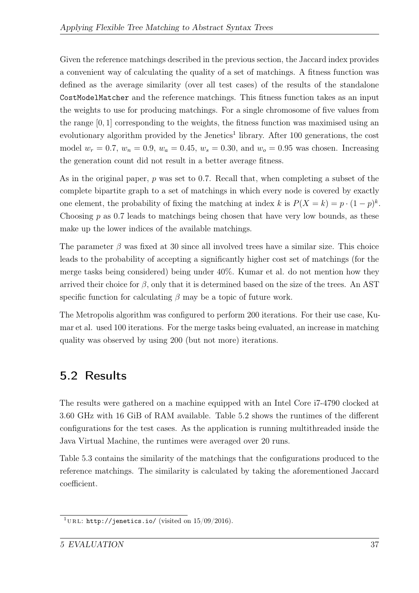Given the reference matchings described in the previous section, the Jaccard index provides a convenient way of calculating the quality of a set of matchings. A fitness function was defined as the average similarity (over all test cases) of the results of the standalone CostModelMatcher and the reference matchings. This fitness function takes as an input the weights to use for producing matchings. For a single chromosome of five values from the range [0, 1] corresponding to the weights, the fitness function was maximised using an evolutionary algorithm provided by the Jenetics<sup>[1](#page-46-1)</sup> library. After 100 generations, the cost model  $w_r = 0.7$ ,  $w_n = 0.9$ ,  $w_a = 0.45$ ,  $w_s = 0.30$ , and  $w_o = 0.95$  was chosen. Increasing the generation count did not result in a better average fitness.

As in the original paper,  $p$  was set to 0.7. Recall that, when completing a subset of the complete bipartite graph to a set of matchings in which every node is covered by exactly one element, the probability of fixing the matching at index k is  $P(X = k) = p \cdot (1 - p)^k$ . Choosing  $p$  as 0.7 leads to matchings being chosen that have very low bounds, as these make up the lower indices of the available matchings.

The parameter  $\beta$  was fixed at 30 since all involved trees have a similar size. This choice leads to the probability of accepting a significantly higher cost set of matchings (for the merge tasks being considered) being under 40%. Kumar et al. do not mention how they arrived their choice for  $\beta$ , only that it is determined based on the size of the trees. An AST specific function for calculating  $\beta$  may be a topic of future work.

The Metropolis algorithm was configured to perform 200 iterations. For their use case, Kumar et al. used 100 iterations. For the merge tasks being evaluated, an increase in matching quality was observed by using 200 (but not more) iterations.

## <span id="page-46-0"></span>5.2 Results

The results were gathered on a machine equipped with an Intel Core i7-4790 clocked at 3.60 GHz with 16 GiB of RAM available. Table [5.2](#page-47-2) shows the runtimes of the different configurations for the test cases. As the application is running multithreaded inside the Java Virtual Machine, the runtimes were averaged over 20 runs.

Table [5.3](#page-47-3) contains the similarity of the matchings that the configurations produced to the reference matchings. The similarity is calculated by taking the aforementioned Jaccard coefficient.

<span id="page-46-1"></span><sup>&</sup>lt;sup>1</sup>URL: <http://jenetics.io/> (visited on  $15/09/2016$ ).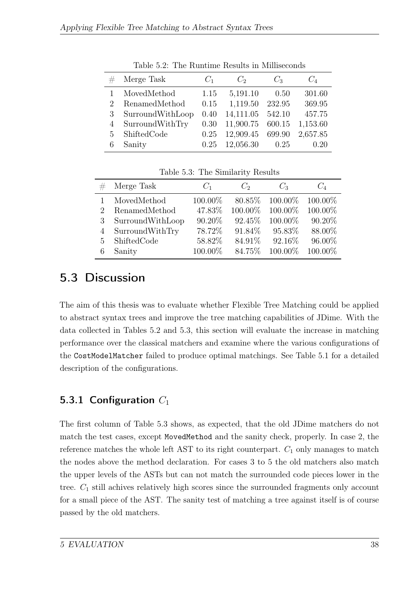<span id="page-47-2"></span>

|                             | Merge Task       | $C_1$ | $C_2$     | $C_3$  | $C_4$    |
|-----------------------------|------------------|-------|-----------|--------|----------|
|                             | MovedMethod      | 1.15  | 5,191.10  | 0.50   | 301.60   |
| $\mathcal{D}_{\mathcal{L}}$ | RenamedMethod    | 0.15  | 1,119.50  | 232.95 | 369.95   |
| 3                           | SurroundWithLoop | 0.40  | 14,111.05 | 542.10 | 457.75   |
|                             | SurroundWithTry  | 0.30  | 11,900.75 | 600.15 | 1,153.60 |
| 5                           | ShiftedCode      | 0.25  | 12,909.45 | 699.90 | 2,657.85 |
|                             | Sanity           | 0.25  | 12,056.30 | 0.25   | 0.20     |

Table 5.2: The Runtime Results in Milliseconds

<span id="page-47-3"></span>

| $C_4$   |
|---------|
| 100.00% |
| 100.00% |
| 90.20%  |
| 88.00%  |
| 96.00%  |
| 100.00% |
|         |

Table 5.3: The Similarity Results

### <span id="page-47-0"></span>5.3 Discussion

The aim of this thesis was to evaluate whether Flexible Tree Matching could be applied to abstract syntax trees and improve the tree matching capabilities of JDime. With the data collected in Tables [5.2](#page-47-2) and [5.3,](#page-47-3) this section will evaluate the increase in matching performance over the classical matchers and examine where the various configurations of the CostModelMatcher failed to produce optimal matchings. See Table [5.1](#page-42-2) for a detailed description of the configurations.

### <span id="page-47-1"></span>5.3.1 Configuration  $C_1$

The first column of Table [5.3](#page-47-3) shows, as expected, that the old JDime matchers do not match the test cases, except MovedMethod and the sanity check, properly. In case 2, the reference matches the whole left AST to its right counterpart.  $C_1$  only manages to match the nodes above the method declaration. For cases 3 to 5 the old matchers also match the upper levels of the ASTs but can not match the surrounded code pieces lower in the tree.  $C_1$  still achives relatively high scores since the surrounded fragments only account for a small piece of the AST. The sanity test of matching a tree against itself is of course passed by the old matchers.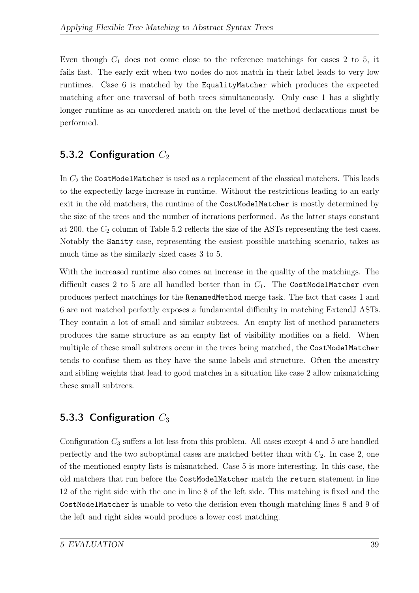Even though  $C_1$  does not come close to the reference matchings for cases 2 to 5, it fails fast. The early exit when two nodes do not match in their label leads to very low runtimes. Case 6 is matched by the EqualityMatcher which produces the expected matching after one traversal of both trees simultaneously. Only case 1 has a slightly longer runtime as an unordered match on the level of the method declarations must be performed.

### <span id="page-48-0"></span>5.3.2 Configuration  $C_2$

In  $C_2$  the CostModelMatcher is used as a replacement of the classical matchers. This leads to the expectedly large increase in runtime. Without the restrictions leading to an early exit in the old matchers, the runtime of the CostModelMatcher is mostly determined by the size of the trees and the number of iterations performed. As the latter stays constant at 200, the  $C_2$  column of Table [5.2](#page-47-2) reflects the size of the ASTs representing the test cases. Notably the Sanity case, representing the easiest possible matching scenario, takes as much time as the similarly sized cases 3 to 5.

With the increased runtime also comes an increase in the quality of the matchings. The difficult cases 2 to 5 are all handled better than in  $C_1$ . The CostModelMatcher even produces perfect matchings for the RenamedMethod merge task. The fact that cases 1 and 6 are not matched perfectly exposes a fundamental difficulty in matching ExtendJ ASTs. They contain a lot of small and similar subtrees. An empty list of method parameters produces the same structure as an empty list of visibility modifies on a field. When multiple of these small subtrees occur in the trees being matched, the CostModelMatcher tends to confuse them as they have the same labels and structure. Often the ancestry and sibling weights that lead to good matches in a situation like case 2 allow mismatching these small subtrees.

### <span id="page-48-1"></span>5.3.3 Configuration  $C_3$

Configuration  $C_3$  suffers a lot less from this problem. All cases except 4 and 5 are handled perfectly and the two suboptimal cases are matched better than with  $C_2$ . In case 2, one of the mentioned empty lists is mismatched. Case 5 is more interesting. In this case, the old matchers that run before the CostModelMatcher match the return statement in line 12 of the right side with the one in line 8 of the left side. This matching is fixed and the CostModelMatcher is unable to veto the decision even though matching lines 8 and 9 of the left and right sides would produce a lower cost matching.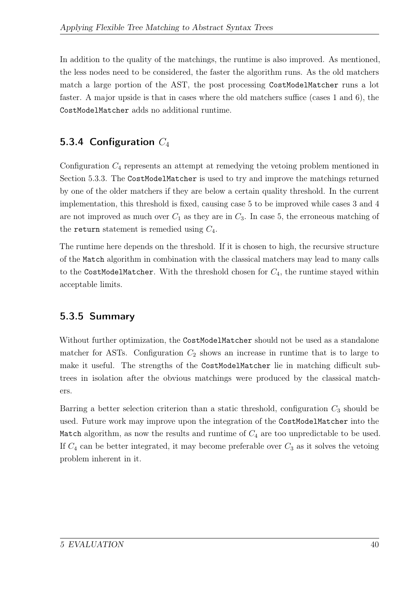In addition to the quality of the matchings, the runtime is also improved. As mentioned, the less nodes need to be considered, the faster the algorithm runs. As the old matchers match a large portion of the AST, the post processing CostModelMatcher runs a lot faster. A major upside is that in cases where the old matchers suffice (cases 1 and 6), the CostModelMatcher adds no additional runtime.

### <span id="page-49-0"></span>5.3.4 Configuration  $C_4$

Configuration  $C_4$  represents an attempt at remedying the vetoing problem mentioned in Section [5.3.3.](#page-48-1) The CostModelMatcher is used to try and improve the matchings returned by one of the older matchers if they are below a certain quality threshold. In the current implementation, this threshold is fixed, causing case 5 to be improved while cases 3 and 4 are not improved as much over  $C_1$  as they are in  $C_3$ . In case 5, the erroneous matching of the return statement is remedied using  $C_4$ .

The runtime here depends on the threshold. If it is chosen to high, the recursive structure of the Match algorithm in combination with the classical matchers may lead to many calls to the CostModelMatcher. With the threshold chosen for  $C_4$ , the runtime stayed within acceptable limits.

### <span id="page-49-1"></span>5.3.5 Summary

Without further optimization, the CostModelMatcher should not be used as a standalone matcher for ASTs. Configuration  $C_2$  shows an increase in runtime that is to large to make it useful. The strengths of the CostModelMatcher lie in matching difficult subtrees in isolation after the obvious matchings were produced by the classical matchers.

Barring a better selection criterion than a static threshold, configuration  $C_3$  should be used. Future work may improve upon the integration of the CostModelMatcher into the Match algorithm, as now the results and runtime of  $C_4$  are too unpredictable to be used. If  $C_4$  can be better integrated, it may become preferable over  $C_3$  as it solves the vetoing problem inherent in it.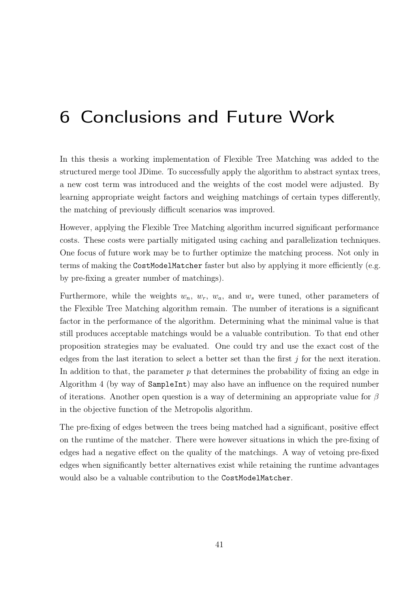# <span id="page-50-0"></span>6 Conclusions and Future Work

In this thesis a working implementation of Flexible Tree Matching was added to the structured merge tool JDime. To successfully apply the algorithm to abstract syntax trees, a new cost term was introduced and the weights of the cost model were adjusted. By learning appropriate weight factors and weighing matchings of certain types differently, the matching of previously difficult scenarios was improved.

However, applying the Flexible Tree Matching algorithm incurred significant performance costs. These costs were partially mitigated using caching and parallelization techniques. One focus of future work may be to further optimize the matching process. Not only in terms of making the CostModelMatcher faster but also by applying it more efficiently (e.g. by pre-fixing a greater number of matchings).

Furthermore, while the weights  $w_n$ ,  $w_r$ ,  $w_a$ , and  $w_s$  were tuned, other parameters of the Flexible Tree Matching algorithm remain. The number of iterations is a significant factor in the performance of the algorithm. Determining what the minimal value is that still produces acceptable matchings would be a valuable contribution. To that end other proposition strategies may be evaluated. One could try and use the exact cost of the edges from the last iteration to select a better set than the first  $j$  for the next iteration. In addition to that, the parameter  $p$  that determines the probability of fixing an edge in Algorithm [4](#page-40-0) (by way of SampleInt) may also have an influence on the required number of iterations. Another open question is a way of determining an appropriate value for  $\beta$ in the objective function of the Metropolis algorithm.

The pre-fixing of edges between the trees being matched had a significant, positive effect on the runtime of the matcher. There were however situations in which the pre-fixing of edges had a negative effect on the quality of the matchings. A way of vetoing pre-fixed edges when significantly better alternatives exist while retaining the runtime advantages would also be a valuable contribution to the CostModelMatcher.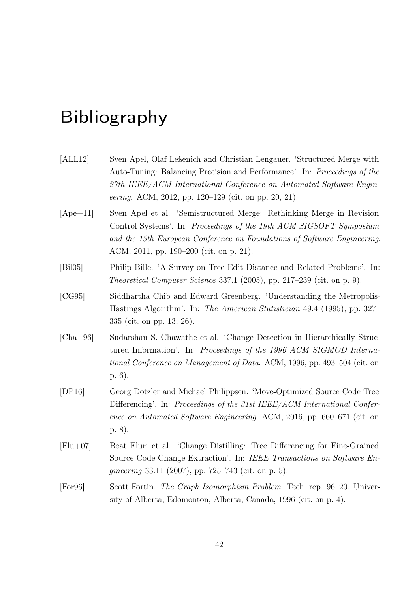# Bibliography

<span id="page-51-7"></span><span id="page-51-6"></span><span id="page-51-5"></span><span id="page-51-4"></span><span id="page-51-3"></span><span id="page-51-2"></span><span id="page-51-1"></span><span id="page-51-0"></span>

| [ALL12]    | Sven Apel, Olaf Leßenich and Christian Lengauer. 'Structured Merge with<br>Auto-Tuning: Balancing Precision and Performance'. In: Proceedings of the<br>27th IEEE/ACM International Conference on Automated Software Engin-<br>eering. ACM, 2012, pp. 120-129 (cit. on pp. 20, 21). |
|------------|-------------------------------------------------------------------------------------------------------------------------------------------------------------------------------------------------------------------------------------------------------------------------------------|
| $[Ape+11]$ | Sven Apel et al. 'Semistructured Merge: Rethinking Merge in Revision<br>Control Systems'. In: Proceedings of the 19th ACM SIGSOFT Symposium<br>and the 13th European Conference on Foundations of Software Engineering.<br>ACM, 2011, pp. 190–200 (cit. on p. 21).                  |
| [Bi105]    | Philip Bille. 'A Survey on Tree Edit Distance and Related Problems'. In:<br><i>Theoretical Computer Science</i> 337.1 (2005), pp. 217–239 (cit. on p. 9).                                                                                                                           |
| [CG95]     | Siddhartha Chib and Edward Greenberg. 'Understanding the Metropolis-<br>Hastings Algorithm'. In: The American Statistician 49.4 (1995), pp. 327–<br>335 (cit. on pp. 13, 26).                                                                                                       |
| $[Cha+96]$ | Sudarshan S. Chawathe et al. 'Change Detection in Hierarchically Struc-<br>tured Information'. In: Proceedings of the 1996 ACM SIGMOD Interna-<br>tional Conference on Management of Data. ACM, 1996, pp. 493-504 (cit. on<br>$p. 6$ ).                                             |
| [DP16]     | Georg Dotzler and Michael Philippsen. 'Move-Optimized Source Code Tree<br>Differencing'. In: Proceedings of the 31st IEEE/ACM International Confer-<br>ence on Automated Software Engineering. ACM, 2016, pp. 660–671 (cit. on<br>p. 8).                                            |
| $[Flu+07]$ | Beat Fluri et al. 'Change Distilling: Tree Differencing for Fine-Grained<br>Source Code Change Extraction'. In: IEEE Transactions on Software En-<br><i>gineering</i> 33.11 (2007), pp. 725–743 (cit. on p. 5).                                                                     |
| [For 96]   | Scott Fortin. The Graph Isomorphism Problem. Tech. rep. 96-20. Univer-<br>sity of Alberta, Edomonton, Alberta, Canada, 1996 (cit. on p. 4).                                                                                                                                         |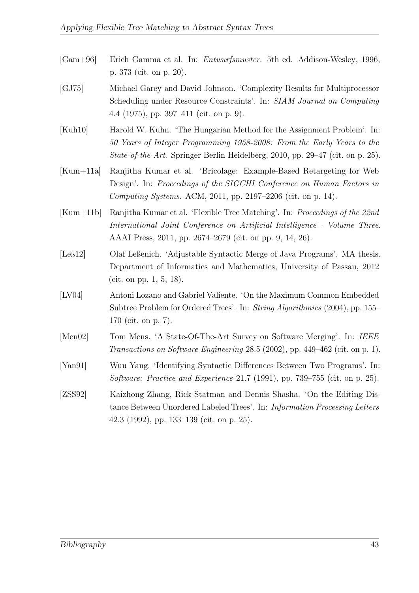- <span id="page-52-6"></span>[Gam+96] Erich Gamma et al. In: Entwurfsmuster. 5th ed. Addison-Wesley, 1996, p. 373 (cit. on p. [20\)](#page-29-2).
- <span id="page-52-4"></span>[GJ75] Michael Garey and David Johnson. 'Complexity Results for Multiprocessor Scheduling under Resource Constraints'. In: SIAM Journal on Computing 4.4 (1975), pp. 397–411 (cit. on p. [9\)](#page-18-2).
- <span id="page-52-7"></span>[Kuh10] Harold W. Kuhn. 'The Hungarian Method for the Assignment Problem'. In: 50 Years of Integer Programming 1958-2008: From the Early Years to the State-of-the-Art. Springer Berlin Heidelberg, 2010, pp. 29–47 (cit. on p. [25\)](#page-34-1).
- <span id="page-52-5"></span>[Kum+11a] Ranjitha Kumar et al. 'Bricolage: Example-Based Retargeting for Web Design'. In: Proceedings of the SIGCHI Conference on Human Factors in Computing Systems. ACM, 2011, pp. 2197–2206 (cit. on p. [14\)](#page-23-1).
- <span id="page-52-3"></span>[Kum+11b] Ranjitha Kumar et al. 'Flexible Tree Matching'. In: Proceedings of the 22nd International Joint Conference on Artificial Intelligence - Volume Three. AAAI Press, 2011, pp. 2674–2679 (cit. on pp. [9,](#page-18-2) [14,](#page-23-1) [26\)](#page-35-1).
- <span id="page-52-1"></span>[Leß12] Olaf Leßenich. 'Adjustable Syntactic Merge of Java Programs'. MA thesis. Department of Informatics and Mathematics, University of Passau, 2012 (cit. on pp. [1,](#page-0-0) [5,](#page-14-3) [18\)](#page-27-4).
- <span id="page-52-2"></span>[LV04] Antoni Lozano and Gabriel Valiente. 'On the Maximum Common Embedded Subtree Problem for Ordered Trees'. In: String Algorithmics (2004), pp. 155– 170 (cit. on p. [7\)](#page-16-1).
- <span id="page-52-0"></span>[Men02] Tom Mens. 'A State-Of-The-Art Survey on Software Merging'. In: IEEE Transactions on Software Engineering 28.5 (2002), pp. 449–462 (cit. on p. [1\)](#page-0-0).
- <span id="page-52-8"></span>[Yan91] Wuu Yang. 'Identifying Syntactic Differences Between Two Programs'. In: Software: Practice and Experience 21.7 (1991), pp. 739–755 (cit. on p. [25\)](#page-34-1).
- <span id="page-52-9"></span>[ZSS92] Kaizhong Zhang, Rick Statman and Dennis Shasha. 'On the Editing Distance Between Unordered Labeled Trees'. In: Information Processing Letters 42.3 (1992), pp. 133–139 (cit. on p. [25\)](#page-34-1).